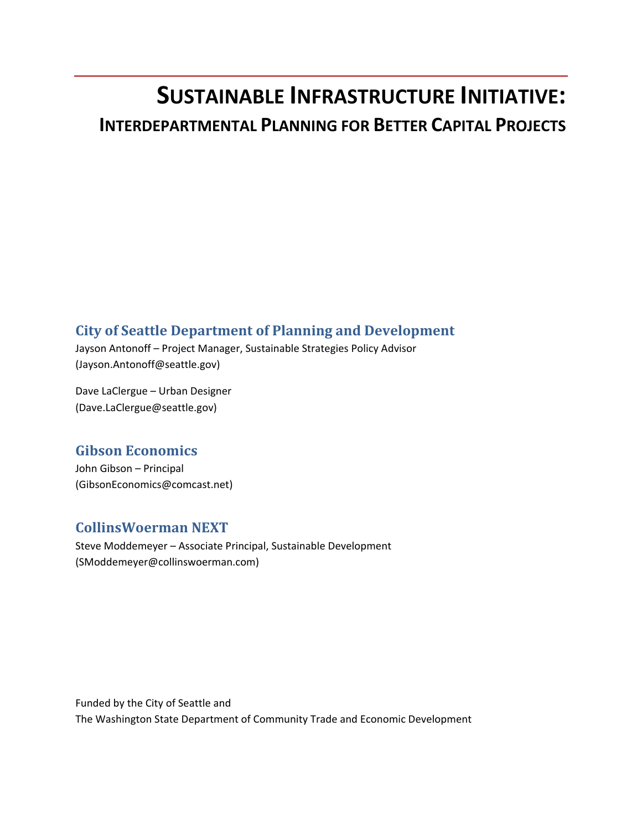# **SUSTAINABLE INFRASTRUCTURE INITIATIVE: INTERDEPARTMENTAL PLANNING FOR BETTER CAPITAL PROJECTS**

# **City of Seattle Department of Planning and Development**

Jayson Antonoff – Project Manager, Sustainable Strategies Policy Advisor (Jayson.Antonoff@seattle.gov)

Dave LaClergue – Urban Designer (Dave.LaClergue@seattle.gov)

# **Gibson Economics**

John Gibson – Principal (GibsonEconomics@comcast.net)

# **CollinsWoerman NEXT**

Steve Moddemeyer – Associate Principal, Sustainable Development (SModdemeyer@collinswoerman.com)

Funded by the City of Seattle and The Washington State Department of Community Trade and Economic Development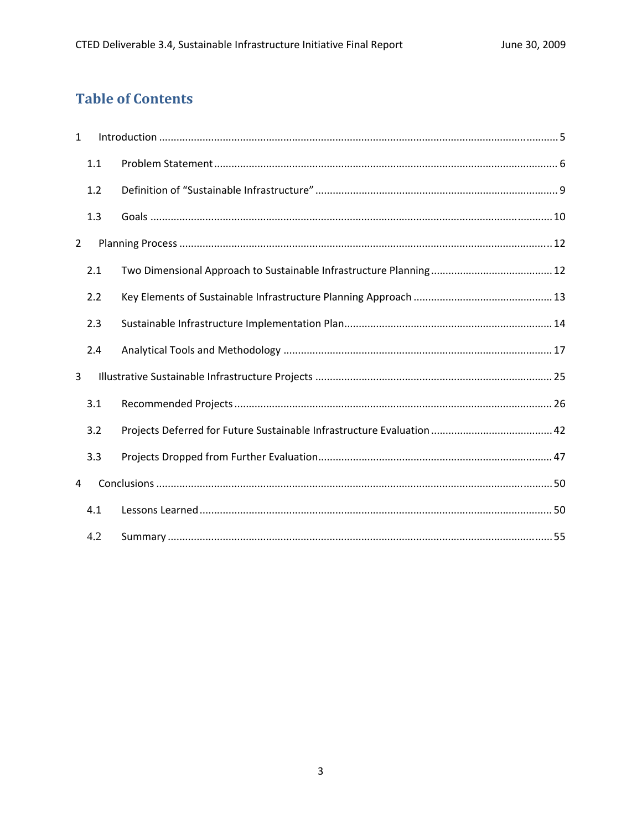# **Table of Contents**

| $\mathbf{1}$   |     |  |
|----------------|-----|--|
|                | 1.1 |  |
|                | 1.2 |  |
|                | 1.3 |  |
| $\overline{2}$ |     |  |
|                | 2.1 |  |
|                | 2.2 |  |
|                | 2.3 |  |
|                | 2.4 |  |
| 3              |     |  |
|                | 3.1 |  |
|                | 3.2 |  |
|                | 3.3 |  |
| 4              |     |  |
|                | 4.1 |  |
|                | 4.2 |  |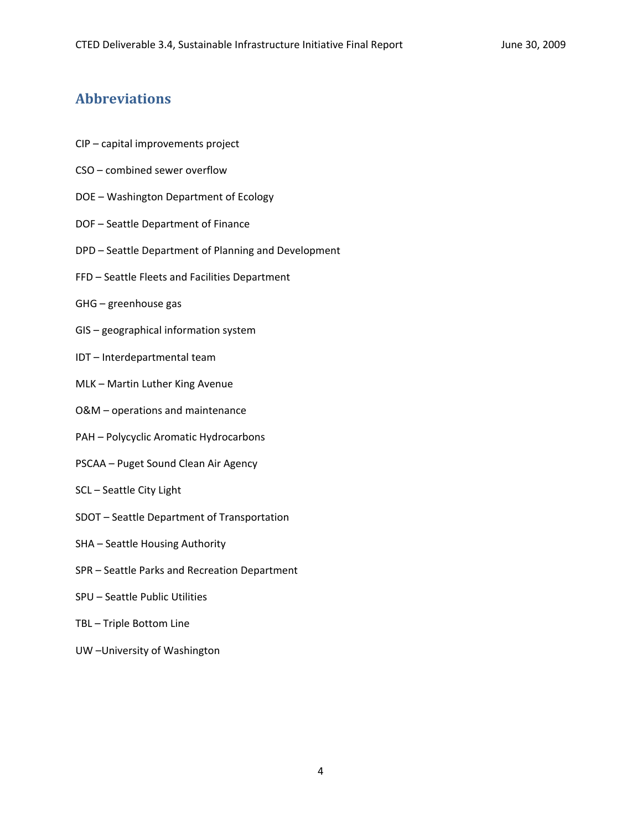# **Abbreviations**

- CIP capital improvements project
- CSO combined sewer overflow
- DOE Washington Department of Ecology
- DOF Seattle Department of Finance
- DPD Seattle Department of Planning and Development
- FFD Seattle Fleets and Facilities Department
- GHG greenhouse gas
- GIS geographical information system
- IDT Interdepartmental team
- MLK Martin Luther King Avenue
- O&M operations and maintenance
- PAH Polycyclic Aromatic Hydrocarbons
- PSCAA Puget Sound Clean Air Agency
- SCL Seattle City Light
- SDOT Seattle Department of Transportation
- SHA Seattle Housing Authority
- SPR Seattle Parks and Recreation Department
- SPU Seattle Public Utilities
- TBL Triple Bottom Line
- UW –University of Washington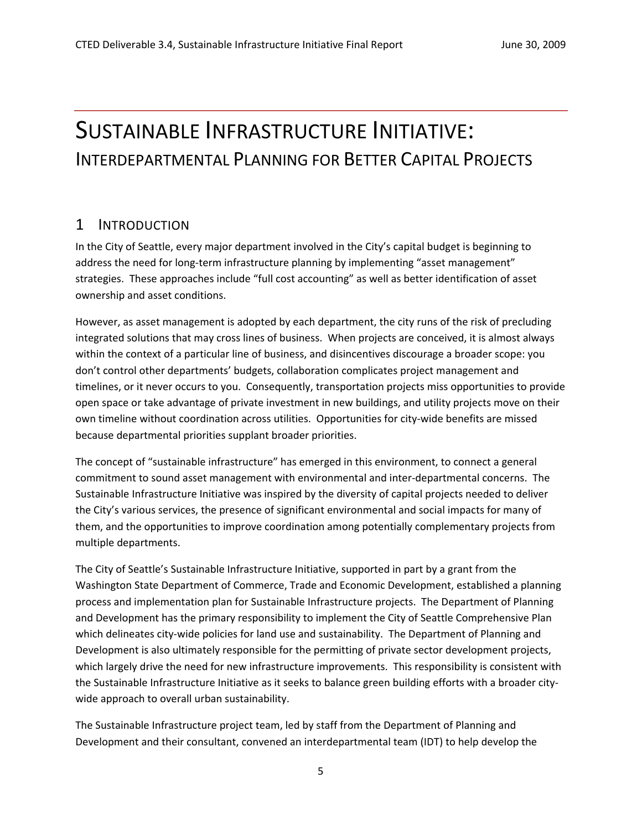# SUSTAINABLE INFRASTRUCTURE INITIATIVE: INTERDEPARTMENTAL PLANNING FOR BETTER CAPITAL PROJECTS

# 1 INTRODUCTION

In the City of Seattle, every major department involved in the City's capital budget is beginning to address the need for long-term infrastructure planning by implementing "asset management" strategies. These approaches include "full cost accounting" as well as better identification of asset ownership and asset conditions.

However, as asset management is adopted by each department, the city runs of the risk of precluding integrated solutions that may cross lines of business. When projects are conceived, it is almost always within the context of a particular line of business, and disincentives discourage a broader scope: you don't control other departments' budgets, collaboration complicates project management and timelines, or it never occurs to you. Consequently, transportation projects miss opportunities to provide open space or take advantage of private investment in new buildings, and utility projects move on their own timeline without coordination across utilities. Opportunities for city‐wide benefits are missed because departmental priorities supplant broader priorities.

The concept of "sustainable infrastructure" has emerged in this environment, to connect a general commitment to sound asset management with environmental and inter-departmental concerns. The Sustainable Infrastructure Initiative was inspired by the diversity of capital projects needed to deliver the City's various services, the presence of significant environmental and social impacts for many of them, and the opportunities to improve coordination among potentially complementary projects from multiple departments.

The City of Seattle's Sustainable Infrastructure Initiative, supported in part by a grant from the Washington State Department of Commerce, Trade and Economic Development, established a planning process and implementation plan for Sustainable Infrastructure projects. The Department of Planning and Development has the primary responsibility to implement the City of Seattle Comprehensive Plan which delineates city-wide policies for land use and sustainability. The Department of Planning and Development is also ultimately responsible for the permitting of private sector development projects, which largely drive the need for new infrastructure improvements. This responsibility is consistent with the Sustainable Infrastructure Initiative as it seeks to balance green building efforts with a broader city‐ wide approach to overall urban sustainability.

The Sustainable Infrastructure project team, led by staff from the Department of Planning and Development and their consultant, convened an interdepartmental team (IDT) to help develop the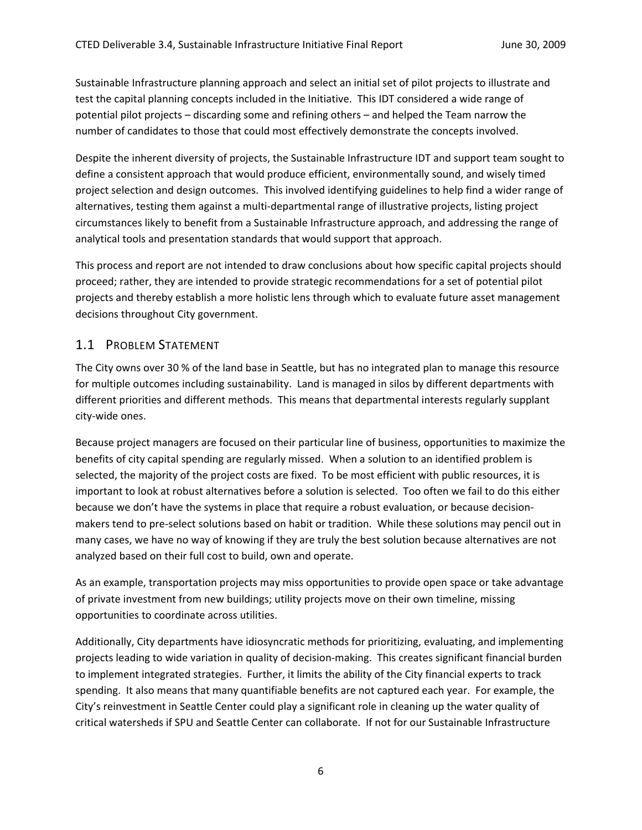Sustainable Infrastructure planning approach and select an initial set of pilot projects to illustrate and test the capital planning concepts included in the Initiative. This IDT considered a wide range of potential pilot projects – discarding some and refining others – and helped the Team narrow the number of candidates to those that could most effectively demonstrate the concepts involved.

Despite the inherent diversity of projects, the Sustainable Infrastructure IDT and support team sought to define a consistent approach that would produce efficient, environmentally sound, and wisely timed project selection and design outcomes. This involved identifying guidelines to help find a wider range of alternatives, testing them against a multi‐departmental range of illustrative projects, listing project circumstances likely to benefit from a Sustainable Infrastructure approach, and addressing the range of analytical tools and presentation standards that would support that approach.

This process and report are not intended to draw conclusions about how specific capital projects should proceed; rather, they are intended to provide strategic recommendations for a set of potential pilot projects and thereby establish a more holistic lens through which to evaluate future asset management decisions throughout City government.

# 1.1 PROBLEM STATEMENT

The City owns over 30 % of the land base in Seattle, but has no integrated plan to manage this resource for multiple outcomes including sustainability. Land is managed in silos by different departments with different priorities and different methods. This means that departmental interests regularly supplant city‐wide ones.

Because project managers are focused on their particular line of business, opportunities to maximize the benefits of city capital spending are regularly missed. When a solution to an identified problem is selected, the majority of the project costs are fixed. To be most efficient with public resources, it is important to look at robust alternatives before a solution is selected. Too often we fail to do this either because we don't have the systems in place that require a robust evaluation, or because decisionmakers tend to pre‐select solutions based on habit or tradition. While these solutions may pencil out in many cases, we have no way of knowing if they are truly the best solution because alternatives are not analyzed based on their full cost to build, own and operate.

As an example, transportation projects may miss opportunities to provide open space or take advantage of private investment from new buildings; utility projects move on their own timeline, missing opportunities to coordinate across utilities.

Additionally, City departments have idiosyncratic methods for prioritizing, evaluating, and implementing projects leading to wide variation in quality of decision‐making. This creates significant financial burden to implement integrated strategies. Further, it limits the ability of the City financial experts to track spending. It also means that many quantifiable benefits are not captured each year. For example, the City's reinvestment in Seattle Center could play a significant role in cleaning up the water quality of critical watersheds if SPU and Seattle Center can collaborate. If not for our Sustainable Infrastructure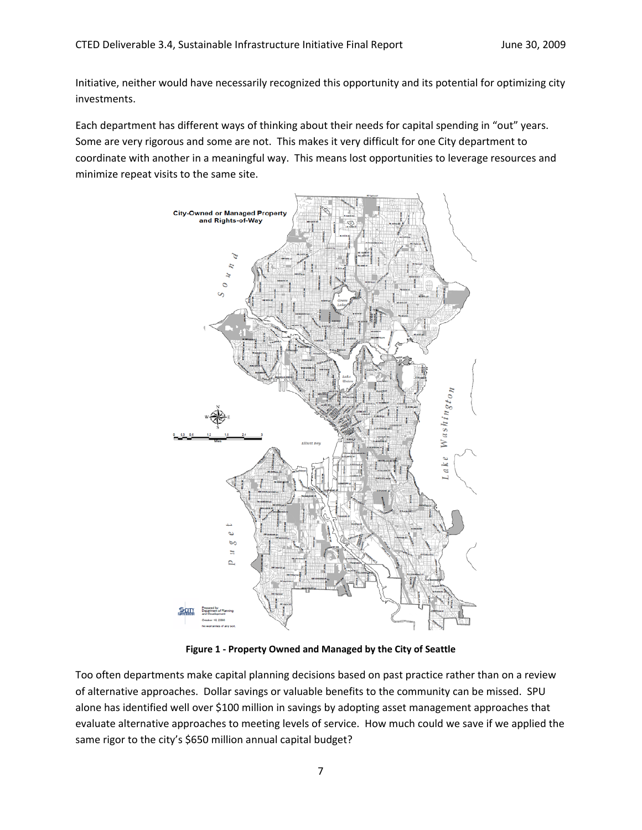Initiative, neither would have necessarily recognized this opportunity and its potential for optimizing city investments.

Each department has different ways of thinking about their needs for capital spending in "out" years. Some are very rigorous and some are not. This makes it very difficult for one City department to coordinate with another in a meaningful way. This means lost opportunities to leverage resources and minimize repeat visits to the same site.



**Figure 1 ‐ Property Owned and Managed by the City of Seattle**

Too often departments make capital planning decisions based on past practice rather than on a review of alternative approaches. Dollar savings or valuable benefits to the community can be missed. SPU alone has identified well over \$100 million in savings by adopting asset management approaches that evaluate alternative approaches to meeting levels of service. How much could we save if we applied the same rigor to the city's \$650 million annual capital budget?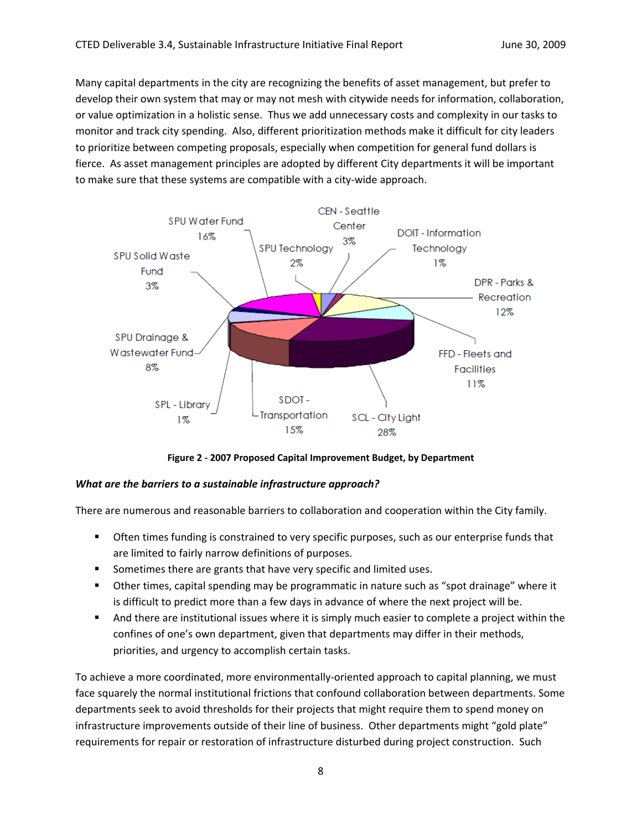Many capital departments in the city are recognizing the benefits of asset management, but prefer to develop their own system that may or may not mesh with citywide needs for information, collaboration, or value optimization in a holistic sense. Thus we add unnecessary costs and complexity in our tasks to monitor and track city spending. Also, different prioritization methods make it difficult for city leaders to prioritize between competing proposals, especially when competition for general fund dollars is fierce. As asset management principles are adopted by different City departments it will be important to make sure that these systems are compatible with a city-wide approach.



**Figure 2 ‐ 2007 Proposed Capital Improvement Budget, by Department**

# *What are the barriers to a sustainable infrastructure approach?*

There are numerous and reasonable barriers to collaboration and cooperation within the City family.

- **•** Often times funding is constrained to very specific purposes, such as our enterprise funds that are limited to fairly narrow definitions of purposes.
- Sometimes there are grants that have very specific and limited uses.
- Other times, capital spending may be programmatic in nature such as "spot drainage" where it is difficult to predict more than a few days in advance of where the next project will be.
- And there are institutional issues where it is simply much easier to complete a project within the confines of one's own department, given that departments may differ in their methods, priorities, and urgency to accomplish certain tasks.

To achieve a more coordinated, more environmentally‐oriented approach to capital planning, we must face squarely the normal institutional frictions that confound collaboration between departments. Some departments seek to avoid thresholds for their projects that might require them to spend money on infrastructure improvements outside of their line of business. Other departments might "gold plate" requirements for repair or restoration of infrastructure disturbed during project construction. Such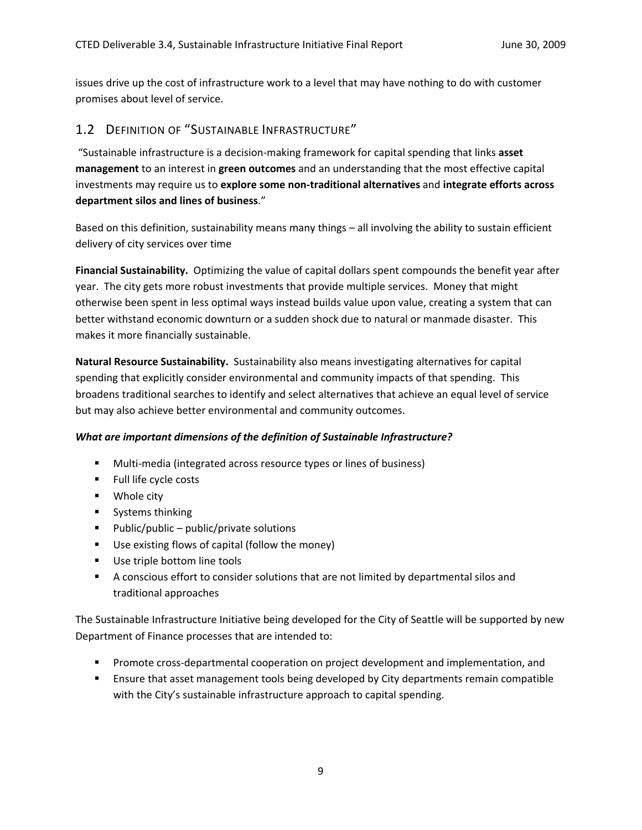issues drive up the cost of infrastructure work to a level that may have nothing to do with customer promises about level of service.

# 1.2 DEFINITION OF "SUSTAINABLE INFRASTRUCTURE"

"Sustainable infrastructure is a decision‐making framework for capital spending that links **asset management** to an interest in **green outcomes** and an understanding that the most effective capital investments may require us to **explore some non‐traditional alternatives** and **integrate efforts across department silos and lines of business**."

Based on this definition, sustainability means many things – all involving the ability to sustain efficient delivery of city services over time

**Financial Sustainability.** Optimizing the value of capital dollars spent compounds the benefit year after year. The city gets more robust investments that provide multiple services. Money that might otherwise been spent in less optimal ways instead builds value upon value, creating a system that can better withstand economic downturn or a sudden shock due to natural or manmade disaster. This makes it more financially sustainable.

**Natural Resource Sustainability.** Sustainability also means investigating alternatives for capital spending that explicitly consider environmental and community impacts of that spending. This broadens traditional searches to identify and select alternatives that achieve an equal level of service but may also achieve better environmental and community outcomes.

# *What are important dimensions of the definition of Sustainable Infrastructure?*

- Multi-media (integrated across resource types or lines of business)
- **Full life cycle costs**
- **•** Whole city
- **Systems thinking**
- $\blacksquare$  Public/public public/private solutions
- Use existing flows of capital (follow the money)
- **Use triple bottom line tools**
- A conscious effort to consider solutions that are not limited by departmental silos and traditional approaches

The Sustainable Infrastructure Initiative being developed for the City of Seattle will be supported by new Department of Finance processes that are intended to:

- Promote cross-departmental cooperation on project development and implementation, and
- **E** Ensure that asset management tools being developed by City departments remain compatible with the City's sustainable infrastructure approach to capital spending.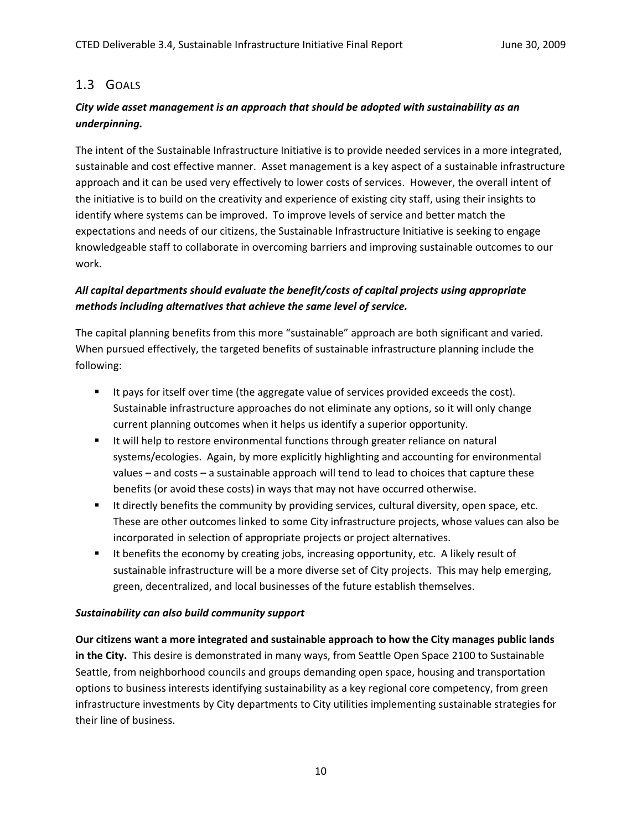# 1.3 GOALS

# *City wide asset management is an approach that should be adopted with sustainability as an underpinning.*

The intent of the Sustainable Infrastructure Initiative is to provide needed services in a more integrated, sustainable and cost effective manner. Asset management is a key aspect of a sustainable infrastructure approach and it can be used very effectively to lower costs of services. However, the overall intent of the initiative is to build on the creativity and experience of existing city staff, using their insights to identify where systems can be improved. To improve levels of service and better match the expectations and needs of our citizens, the Sustainable Infrastructure Initiative is seeking to engage knowledgeable staff to collaborate in overcoming barriers and improving sustainable outcomes to our work.

# *All capital departments should evaluate the benefit/costs of capital projects using appropriate methods including alternatives that achieve the same level of service.*

The capital planning benefits from this more "sustainable" approach are both significant and varied. When pursued effectively, the targeted benefits of sustainable infrastructure planning include the following:

- It pays for itself over time (the aggregate value of services provided exceeds the cost). Sustainable infrastructure approaches do not eliminate any options, so it will only change current planning outcomes when it helps us identify a superior opportunity.
- If will help to restore environmental functions through greater reliance on natural systems/ecologies. Again, by more explicitly highlighting and accounting for environmental values – and costs – a sustainable approach will tend to lead to choices that capture these benefits (or avoid these costs) in ways that may not have occurred otherwise.
- It directly benefits the community by providing services, cultural diversity, open space, etc. These are other outcomes linked to some City infrastructure projects, whose values can also be incorporated in selection of appropriate projects or project alternatives.
- It benefits the economy by creating jobs, increasing opportunity, etc. A likely result of sustainable infrastructure will be a more diverse set of City projects. This may help emerging, green, decentralized, and local businesses of the future establish themselves.

# *Sustainability can also build community support*

**Our citizens want a more integrated and sustainable approach to how the City manages public lands in the City.** This desire is demonstrated in many ways, from Seattle Open Space 2100 to Sustainable Seattle, from neighborhood councils and groups demanding open space, housing and transportation options to business interests identifying sustainability as a key regional core competency, from green infrastructure investments by City departments to City utilities implementing sustainable strategies for their line of business.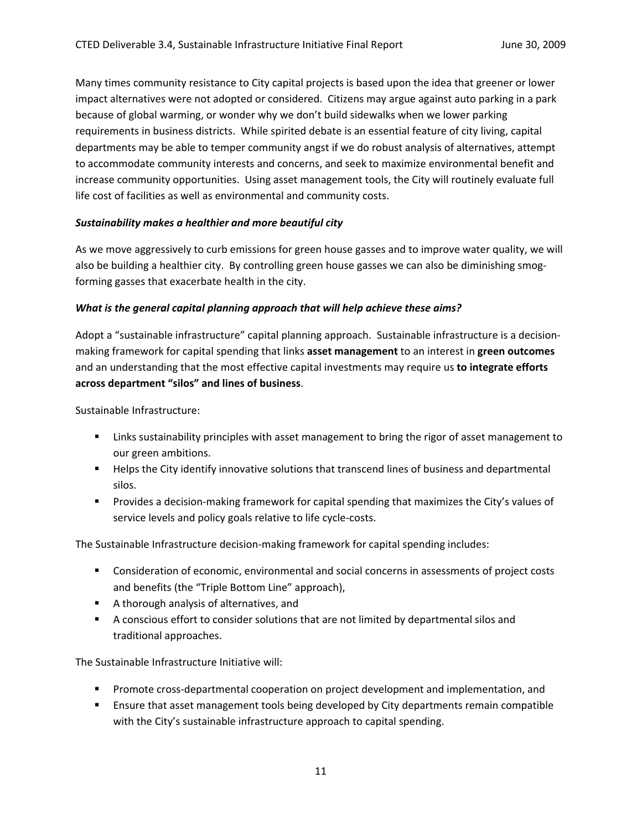Many times community resistance to City capital projects is based upon the idea that greener or lower impact alternatives were not adopted or considered. Citizens may argue against auto parking in a park because of global warming, or wonder why we don't build sidewalks when we lower parking requirements in business districts. While spirited debate is an essential feature of city living, capital departments may be able to temper community angst if we do robust analysis of alternatives, attempt to accommodate community interests and concerns, and seek to maximize environmental benefit and increase community opportunities. Using asset management tools, the City will routinely evaluate full life cost of facilities as well as environmental and community costs.

### *Sustainability makes a healthier and more beautiful city*

As we move aggressively to curb emissions for green house gasses and to improve water quality, we will also be building a healthier city. By controlling green house gasses we can also be diminishing smogforming gasses that exacerbate health in the city.

### *What is the general capital planning approach that will help achieve these aims?*

Adopt a "sustainable infrastructure" capital planning approach. Sustainable infrastructure is a decision‐ making framework for capital spending that links **asset management** to an interest in **green outcomes** and an understanding that the most effective capital investments may require us **to integrate efforts across department "silos" and lines of business**.

Sustainable Infrastructure:

- **EXED 10** Links sustainability principles with asset management to bring the rigor of asset management to our green ambitions.
- **Helps the City identify innovative solutions that transcend lines of business and departmental** silos.
- Provides a decision-making framework for capital spending that maximizes the City's values of service levels and policy goals relative to life cycle-costs.

The Sustainable Infrastructure decision‐making framework for capital spending includes:

- **Consideration of economic, environmental and social concerns in assessments of project costs** and benefits (the "Triple Bottom Line" approach),
- A thorough analysis of alternatives, and
- A conscious effort to consider solutions that are not limited by departmental silos and traditional approaches.

The Sustainable Infrastructure Initiative will:

- Promote cross-departmental cooperation on project development and implementation, and
- **E** Ensure that asset management tools being developed by City departments remain compatible with the City's sustainable infrastructure approach to capital spending.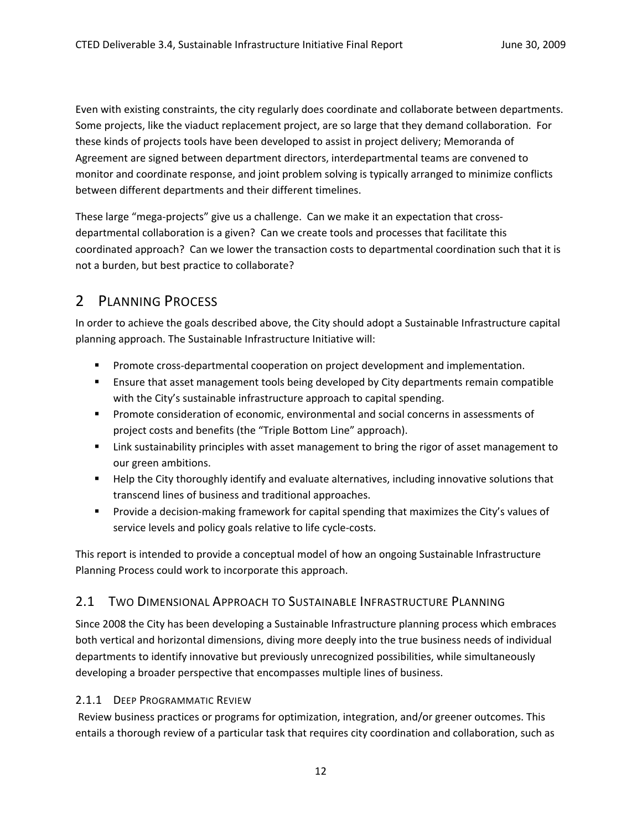Even with existing constraints, the city regularly does coordinate and collaborate between departments. Some projects, like the viaduct replacement project, are so large that they demand collaboration. For these kinds of projects tools have been developed to assist in project delivery; Memoranda of Agreement are signed between department directors, interdepartmental teams are convened to monitor and coordinate response, and joint problem solving is typically arranged to minimize conflicts between different departments and their different timelines.

These large "mega‐projects" give us a challenge. Can we make it an expectation that cross‐ departmental collaboration is a given? Can we create tools and processes that facilitate this coordinated approach? Can we lower the transaction costs to departmental coordination such that it is not a burden, but best practice to collaborate?

# 2 PLANNING PROCESS

In order to achieve the goals described above, the City should adopt a Sustainable Infrastructure capital planning approach. The Sustainable Infrastructure Initiative will:

- **Promote cross-departmental cooperation on project development and implementation.**
- Ensure that asset management tools being developed by City departments remain compatible with the City's sustainable infrastructure approach to capital spending.
- **Promote consideration of economic, environmental and social concerns in assessments of** project costs and benefits (the "Triple Bottom Line" approach).
- **EXECT 1** Link sustainability principles with asset management to bring the rigor of asset management to our green ambitions.
- **Help the City thoroughly identify and evaluate alternatives, including innovative solutions that** transcend lines of business and traditional approaches.
- Provide a decision-making framework for capital spending that maximizes the City's values of service levels and policy goals relative to life cycle‐costs.

This report is intended to provide a conceptual model of how an ongoing Sustainable Infrastructure Planning Process could work to incorporate this approach.

# 2.1 TWO DIMENSIONAL APPROACH TO SUSTAINABLE INFRASTRUCTURE PLANNING

Since 2008 the City has been developing a Sustainable Infrastructure planning process which embraces both vertical and horizontal dimensions, diving more deeply into the true business needs of individual departments to identify innovative but previously unrecognized possibilities, while simultaneously developing a broader perspective that encompasses multiple lines of business.

# 2.1.1 DEEP PROGRAMMATIC REVIEW

Review business practices or programs for optimization, integration, and/or greener outcomes. This entails a thorough review of a particular task that requires city coordination and collaboration, such as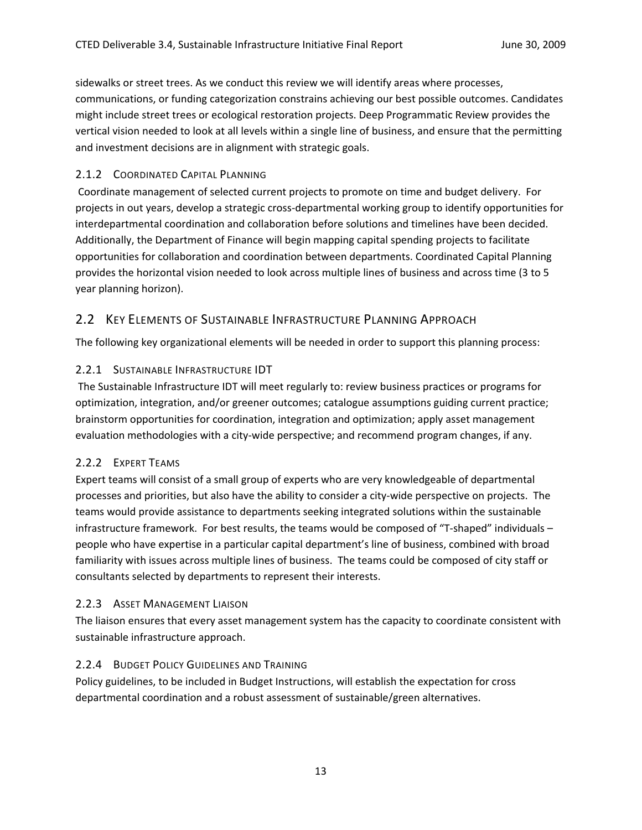sidewalks or street trees. As we conduct this review we will identify areas where processes, communications, or funding categorization constrains achieving our best possible outcomes. Candidates might include street trees or ecological restoration projects. Deep Programmatic Review provides the vertical vision needed to look at all levels within a single line of business, and ensure that the permitting and investment decisions are in alignment with strategic goals.

# 2.1.2 COORDINATED CAPITAL PLANNING

Coordinate management of selected current projects to promote on time and budget delivery. For projects in out years, develop a strategic cross‐departmental working group to identify opportunities for interdepartmental coordination and collaboration before solutions and timelines have been decided. Additionally, the Department of Finance will begin mapping capital spending projects to facilitate opportunities for collaboration and coordination between departments. Coordinated Capital Planning provides the horizontal vision needed to look across multiple lines of business and across time (3 to 5 year planning horizon).

# 2.2 KEY ELEMENTS OF SUSTAINABLE INFRASTRUCTURE PLANNING APPROACH

The following key organizational elements will be needed in order to support this planning process:

# 2.2.1 SUSTAINABLE INFRASTRUCTURE IDT

The Sustainable Infrastructure IDT will meet regularly to: review business practices or programs for optimization, integration, and/or greener outcomes; catalogue assumptions guiding current practice; brainstorm opportunities for coordination, integration and optimization; apply asset management evaluation methodologies with a city-wide perspective; and recommend program changes, if any.

# 2.2.2 EXPERT TEAMS

Expert teams will consist of a small group of experts who are very knowledgeable of departmental processes and priorities, but also have the ability to consider a city‐wide perspective on projects. The teams would provide assistance to departments seeking integrated solutions within the sustainable infrastructure framework. For best results, the teams would be composed of "T‐shaped" individuals – people who have expertise in a particular capital department's line of business, combined with broad familiarity with issues across multiple lines of business. The teams could be composed of city staff or consultants selected by departments to represent their interests.

# 2.2.3 ASSET MANAGEMENT LIAISON

The liaison ensures that every asset management system has the capacity to coordinate consistent with sustainable infrastructure approach.

# 2.2.4 BUDGET POLICY GUIDELINES AND TRAINING

Policy guidelines, to be included in Budget Instructions, will establish the expectation for cross departmental coordination and a robust assessment of sustainable/green alternatives.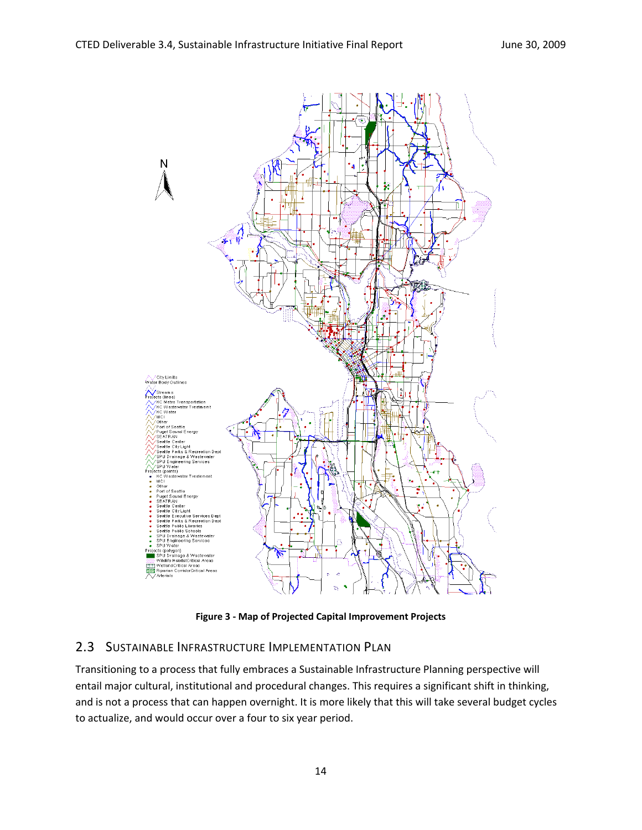

**Figure 3 ‐ Map of Projected Capital Improvement Projects**

# 2.3 SUSTAINABLE INFRASTRUCTURE IMPLEMENTATION PLAN

Transitioning to a process that fully embraces a Sustainable Infrastructure Planning perspective will entail major cultural, institutional and procedural changes. This requires a significant shift in thinking, and is not a process that can happen overnight. It is more likely that this will take several budget cycles to actualize, and would occur over a four to six year period.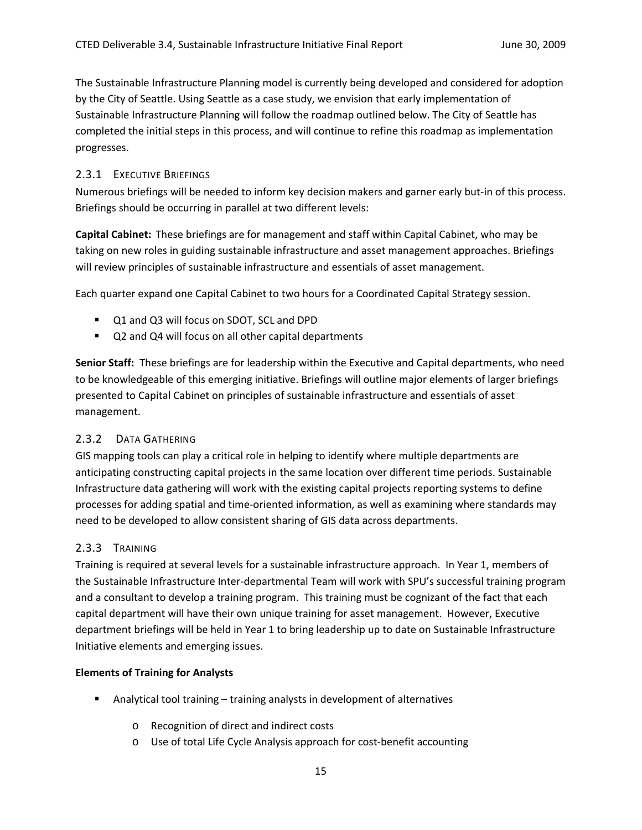The Sustainable Infrastructure Planning model is currently being developed and considered for adoption by the City of Seattle. Using Seattle as a case study, we envision that early implementation of Sustainable Infrastructure Planning will follow the roadmap outlined below. The City of Seattle has completed the initial steps in this process, and will continue to refine this roadmap as implementation progresses.

### 2.3.1 EXECUTIVE BRIEFINGS

Numerous briefings will be needed to inform key decision makers and garner early but‐in of this process. Briefings should be occurring in parallel at two different levels:

**Capital Cabinet:** These briefings are for management and staff within Capital Cabinet, who may be taking on new roles in guiding sustainable infrastructure and asset management approaches. Briefings will review principles of sustainable infrastructure and essentials of asset management.

Each quarter expand one Capital Cabinet to two hours for a Coordinated Capital Strategy session.

- Q1 and Q3 will focus on SDOT, SCL and DPD
- Q2 and Q4 will focus on all other capital departments

**Senior Staff:** These briefings are for leadership within the Executive and Capital departments, who need to be knowledgeable of this emerging initiative. Briefings will outline major elements of larger briefings presented to Capital Cabinet on principles of sustainable infrastructure and essentials of asset management.

# 2.3.2 DATA GATHERING

GIS mapping tools can play a critical role in helping to identify where multiple departments are anticipating constructing capital projects in the same location over different time periods. Sustainable Infrastructure data gathering will work with the existing capital projects reporting systems to define processes for adding spatial and time‐oriented information, as well as examining where standards may need to be developed to allow consistent sharing of GIS data across departments.

# 2.3.3 TRAINING

Training is required at several levels for a sustainable infrastructure approach. In Year 1, members of the Sustainable Infrastructure Inter‐departmental Team will work with SPU's successful training program and a consultant to develop a training program. This training must be cognizant of the fact that each capital department will have their own unique training for asset management. However, Executive department briefings will be held in Year 1 to bring leadership up to date on Sustainable Infrastructure Initiative elements and emerging issues.

#### **Elements of Training for Analysts**

- Analytical tool training training analysts in development of alternatives
	- o Recognition of direct and indirect costs
	- o Use of total Life Cycle Analysis approach for cost‐benefit accounting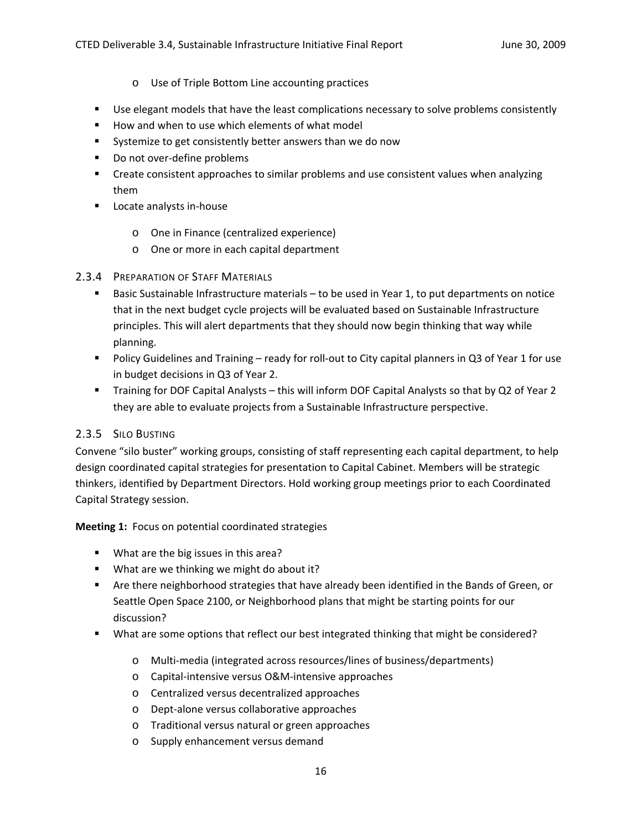- o Use of Triple Bottom Line accounting practices
- **Use elegant models that have the least complications necessary to solve problems consistently**
- How and when to use which elements of what model
- Systemize to get consistently better answers than we do now
- Do not over-define problems
- Create consistent approaches to similar problems and use consistent values when analyzing them
- Locate analysts in-house
	- o One in Finance (centralized experience)
	- o One or more in each capital department

### 2.3.4 PREPARATION OF STAFF MATERIALS

- Basic Sustainable Infrastructure materials to be used in Year 1, to put departments on notice that in the next budget cycle projects will be evaluated based on Sustainable Infrastructure principles. This will alert departments that they should now begin thinking that way while planning.
- Policy Guidelines and Training ready for roll-out to City capital planners in Q3 of Year 1 for use in budget decisions in Q3 of Year 2.
- Training for DOF Capital Analysts this will inform DOF Capital Analysts so that by Q2 of Year 2 they are able to evaluate projects from a Sustainable Infrastructure perspective.

# 2.3.5 SILO BUSTING

Convene "silo buster" working groups, consisting of staff representing each capital department, to help design coordinated capital strategies for presentation to Capital Cabinet. Members will be strategic thinkers, identified by Department Directors. Hold working group meetings prior to each Coordinated Capital Strategy session.

**Meeting 1:** Focus on potential coordinated strategies

- **What are the big issues in this area?**
- **What are we thinking we might do about it?**
- **Are there neighborhood strategies that have already been identified in the Bands of Green, or** Seattle Open Space 2100, or Neighborhood plans that might be starting points for our discussion?
- What are some options that reflect our best integrated thinking that might be considered?
	- o Multi‐media (integrated across resources/lines of business/departments)
	- o Capital‐intensive versus O&M‐intensive approaches
	- o Centralized versus decentralized approaches
	- o Dept‐alone versus collaborative approaches
	- o Traditional versus natural or green approaches
	- o Supply enhancement versus demand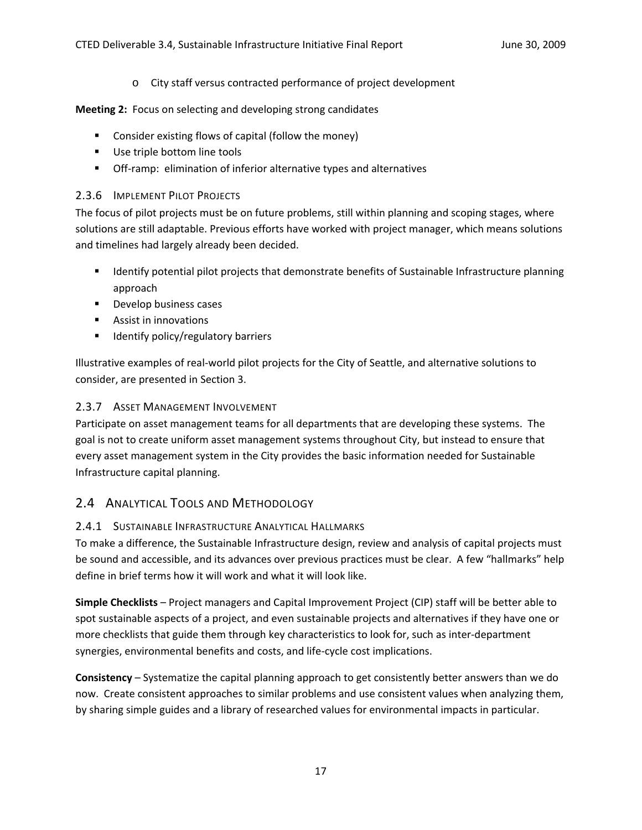o City staff versus contracted performance of project development

**Meeting 2:** Focus on selecting and developing strong candidates

- Consider existing flows of capital (follow the money)
- Use triple bottom line tools
- Off-ramp: elimination of inferior alternative types and alternatives

## 2.3.6 IMPLEMENT PILOT PROJECTS

The focus of pilot projects must be on future problems, still within planning and scoping stages, where solutions are still adaptable. Previous efforts have worked with project manager, which means solutions and timelines had largely already been decided.

- **If all identify potential pilot projects that demonstrate benefits of Sustainable Infrastructure planning** approach
- **Develop business cases**
- Assist in innovations
- $\blacksquare$  Identify policy/regulatory barriers

Illustrative examples of real‐world pilot projects for the City of Seattle, and alternative solutions to consider, are presented in Section 3.

# 2.3.7 ASSET MANAGEMENT INVOLVEMENT

Participate on asset management teams for all departments that are developing these systems. The goal is not to create uniform asset management systems throughout City, but instead to ensure that every asset management system in the City provides the basic information needed for Sustainable Infrastructure capital planning.

# 2.4 ANALYTICAL TOOLS AND METHODOLOGY

# 2.4.1 SUSTAINABLE INFRASTRUCTURE ANALYTICAL HALLMARKS

To make a difference, the Sustainable Infrastructure design, review and analysis of capital projects must be sound and accessible, and its advances over previous practices must be clear. A few "hallmarks" help define in brief terms how it will work and what it will look like.

**Simple Checklists** – Project managers and Capital Improvement Project (CIP) staff will be better able to spot sustainable aspects of a project, and even sustainable projects and alternatives if they have one or more checklists that guide them through key characteristics to look for, such as inter‐department synergies, environmental benefits and costs, and life‐cycle cost implications.

**Consistency** – Systematize the capital planning approach to get consistently better answers than we do now. Create consistent approaches to similar problems and use consistent values when analyzing them, by sharing simple guides and a library of researched values for environmental impacts in particular.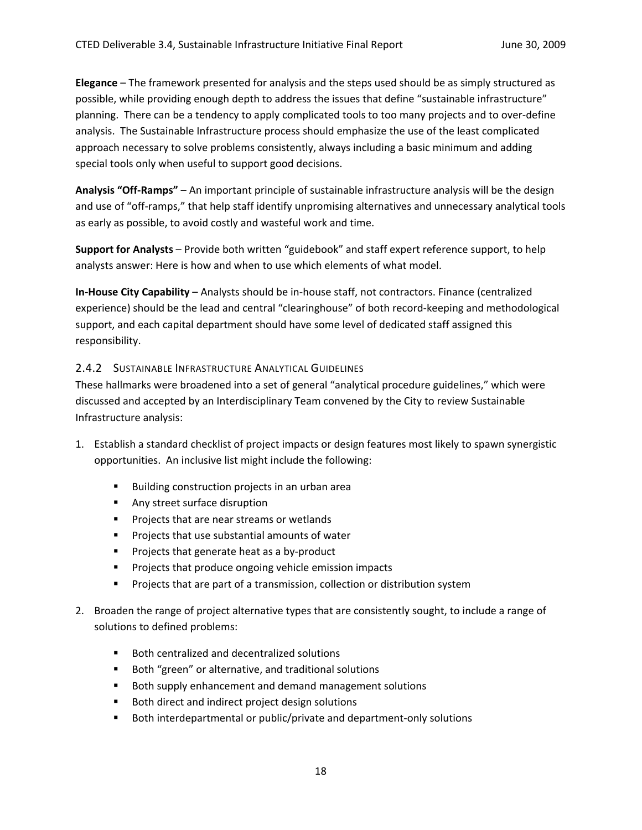**Elegance** – The framework presented for analysis and the steps used should be as simply structured as possible, while providing enough depth to address the issues that define "sustainable infrastructure" planning. There can be a tendency to apply complicated tools to too many projects and to over‐define analysis. The Sustainable Infrastructure process should emphasize the use of the least complicated approach necessary to solve problems consistently, always including a basic minimum and adding special tools only when useful to support good decisions.

**Analysis "Off‐Ramps"** – An important principle of sustainable infrastructure analysis will be the design and use of "off-ramps," that help staff identify unpromising alternatives and unnecessary analytical tools as early as possible, to avoid costly and wasteful work and time.

**Support for Analysts** – Provide both written "guidebook" and staff expert reference support, to help analysts answer: Here is how and when to use which elements of what model.

**In‐House City Capability** – Analysts should be in‐house staff, not contractors. Finance (centralized experience) should be the lead and central "clearinghouse" of both record-keeping and methodological support, and each capital department should have some level of dedicated staff assigned this responsibility.

### 2.4.2 SUSTAINABLE INFRASTRUCTURE ANALYTICAL GUIDELINES

These hallmarks were broadened into a set of general "analytical procedure guidelines," which were discussed and accepted by an Interdisciplinary Team convened by the City to review Sustainable Infrastructure analysis:

- 1. Establish a standard checklist of project impacts or design features most likely to spawn synergistic opportunities. An inclusive list might include the following:
	- Building construction projects in an urban area
	- **Any street surface disruption**
	- **Projects that are near streams or wetlands**
	- **Projects that use substantial amounts of water**
	- Projects that generate heat as a by-product
	- **Projects that produce ongoing vehicle emission impacts**
	- **Projects that are part of a transmission, collection or distribution system**
- 2. Broaden the range of project alternative types that are consistently sought, to include a range of solutions to defined problems:
	- Both centralized and decentralized solutions
	- Both "green" or alternative, and traditional solutions
	- Both supply enhancement and demand management solutions
	- Both direct and indirect project design solutions
	- Both interdepartmental or public/private and department-only solutions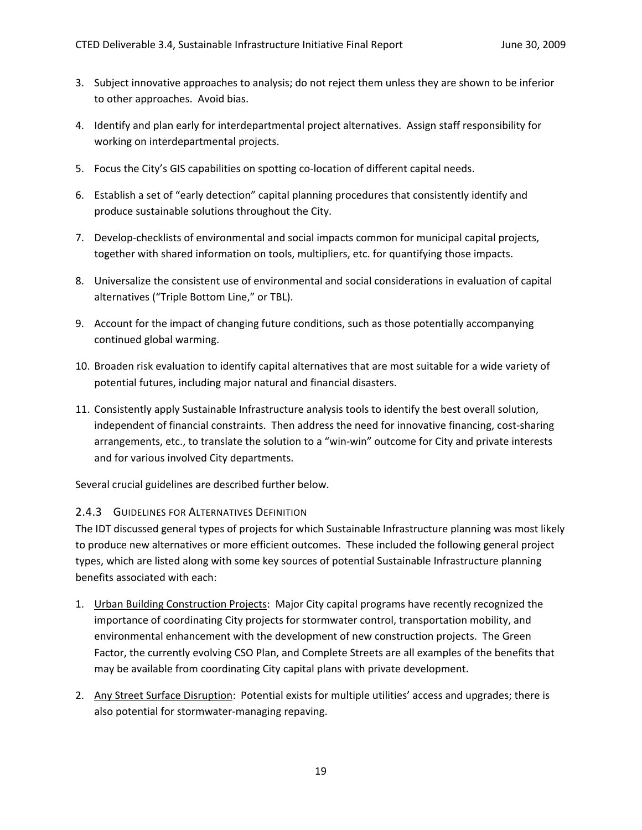- 3. Subject innovative approaches to analysis; do not reject them unless they are shown to be inferior to other approaches. Avoid bias.
- 4. Identify and plan early for interdepartmental project alternatives. Assign staff responsibility for working on interdepartmental projects.
- 5. Focus the City's GIS capabilities on spotting co-location of different capital needs.
- 6. Establish a set of "early detection" capital planning procedures that consistently identify and produce sustainable solutions throughout the City.
- 7. Develop‐checklists of environmental and social impacts common for municipal capital projects, together with shared information on tools, multipliers, etc. for quantifying those impacts.
- 8. Universalize the consistent use of environmental and social considerations in evaluation of capital alternatives ("Triple Bottom Line," or TBL).
- 9. Account for the impact of changing future conditions, such as those potentially accompanying continued global warming.
- 10. Broaden risk evaluation to identify capital alternatives that are most suitable for a wide variety of potential futures, including major natural and financial disasters.
- 11. Consistently apply Sustainable Infrastructure analysis tools to identify the best overall solution, independent of financial constraints. Then address the need for innovative financing, cost‐sharing arrangements, etc., to translate the solution to a "win-win" outcome for City and private interests and for various involved City departments.

Several crucial guidelines are described further below.

#### 2.4.3 GUIDELINES FOR ALTERNATIVES DEFINITION

The IDT discussed general types of projects for which Sustainable Infrastructure planning was most likely to produce new alternatives or more efficient outcomes. These included the following general project types, which are listed along with some key sources of potential Sustainable Infrastructure planning benefits associated with each:

- 1. Urban Building Construction Projects: Major City capital programs have recently recognized the importance of coordinating City projects for stormwater control, transportation mobility, and environmental enhancement with the development of new construction projects. The Green Factor, the currently evolving CSO Plan, and Complete Streets are all examples of the benefits that may be available from coordinating City capital plans with private development.
- 2. Any Street Surface Disruption: Potential exists for multiple utilities' access and upgrades; there is also potential for stormwater‐managing repaving.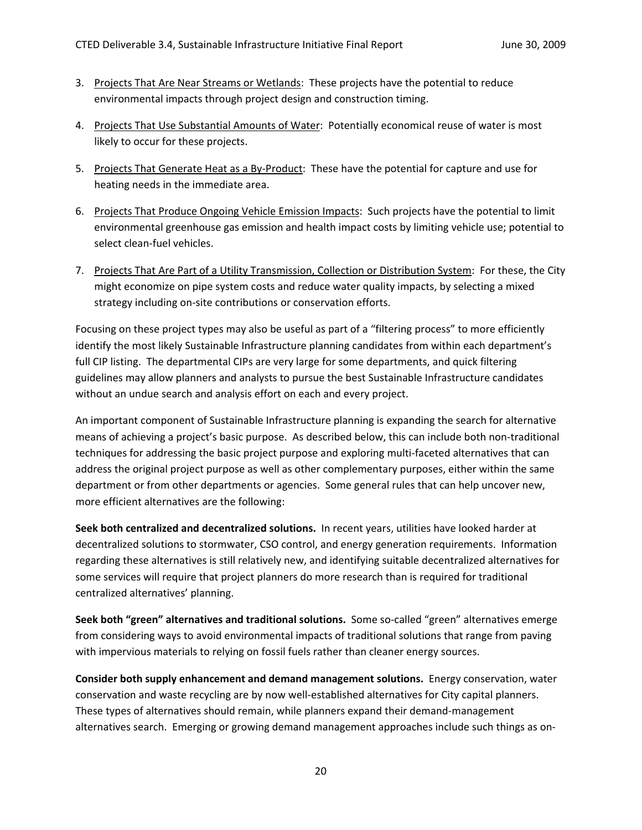- 3. Projects That Are Near Streams or Wetlands: These projects have the potential to reduce environmental impacts through project design and construction timing.
- 4. Projects That Use Substantial Amounts of Water: Potentially economical reuse of water is most likely to occur for these projects.
- 5. Projects That Generate Heat as a By-Product: These have the potential for capture and use for heating needs in the immediate area.
- 6. Projects That Produce Ongoing Vehicle Emission Impacts: Such projects have the potential to limit environmental greenhouse gas emission and health impact costs by limiting vehicle use; potential to select clean‐fuel vehicles.
- 7. Projects That Are Part of a Utility Transmission, Collection or Distribution System: For these, the City might economize on pipe system costs and reduce water quality impacts, by selecting a mixed strategy including on-site contributions or conservation efforts.

Focusing on these project types may also be useful as part of a "filtering process" to more efficiently identify the most likely Sustainable Infrastructure planning candidates from within each department's full CIP listing. The departmental CIPs are very large for some departments, and quick filtering guidelines may allow planners and analysts to pursue the best Sustainable Infrastructure candidates without an undue search and analysis effort on each and every project.

An important component of Sustainable Infrastructure planning is expanding the search for alternative means of achieving a project's basic purpose. As described below, this can include both non-traditional techniques for addressing the basic project purpose and exploring multi-faceted alternatives that can address the original project purpose as well as other complementary purposes, either within the same department or from other departments or agencies. Some general rules that can help uncover new, more efficient alternatives are the following:

**Seek both centralized and decentralized solutions.** In recent years, utilities have looked harder at decentralized solutions to stormwater, CSO control, and energy generation requirements. Information regarding these alternatives is still relatively new, and identifying suitable decentralized alternatives for some services will require that project planners do more research than is required for traditional centralized alternatives' planning.

**Seek both "green" alternatives and traditional solutions.** Some so‐called "green" alternatives emerge from considering ways to avoid environmental impacts of traditional solutions that range from paving with impervious materials to relying on fossil fuels rather than cleaner energy sources.

**Consider both supply enhancement and demand management solutions.** Energy conservation, water conservation and waste recycling are by now well‐established alternatives for City capital planners. These types of alternatives should remain, while planners expand their demand‐management alternatives search. Emerging or growing demand management approaches include such things as on‐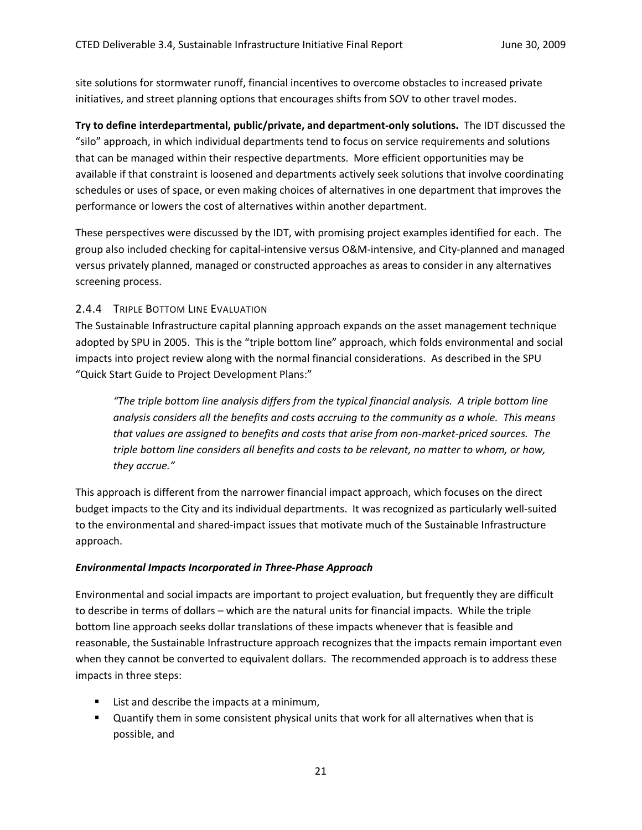site solutions for stormwater runoff, financial incentives to overcome obstacles to increased private initiatives, and street planning options that encourages shifts from SOV to other travel modes.

**Try to define interdepartmental, public/private, and department‐only solutions.** The IDT discussed the "silo" approach, in which individual departments tend to focus on service requirements and solutions that can be managed within their respective departments. More efficient opportunities may be available if that constraint is loosened and departments actively seek solutions that involve coordinating schedules or uses of space, or even making choices of alternatives in one department that improves the performance or lowers the cost of alternatives within another department.

These perspectives were discussed by the IDT, with promising project examples identified for each. The group also included checking for capital‐intensive versus O&M‐intensive, and City‐planned and managed versus privately planned, managed or constructed approaches as areas to consider in any alternatives screening process.

# 2.4.4 TRIPLE BOTTOM LINE EVALUATION

The Sustainable Infrastructure capital planning approach expands on the asset management technique adopted by SPU in 2005. This is the "triple bottom line" approach, which folds environmental and social impacts into project review along with the normal financial considerations. As described in the SPU "Quick Start Guide to Project Development Plans:"

*"The triple bottom line analysis differs from the typical financial analysis. A triple bottom line analysis considers all the benefits and costs accruing to the community as a whole. This means* that values are assigned to benefits and costs that arise from non-market-priced sources. The *triple bottom line considers all benefits and costs to be relevant, no matter to whom, or how, they accrue."*

This approach is different from the narrower financial impact approach, which focuses on the direct budget impacts to the City and its individual departments. It was recognized as particularly well‐suited to the environmental and shared‐impact issues that motivate much of the Sustainable Infrastructure approach.

# *Environmental Impacts Incorporated in Three‐Phase Approach*

Environmental and social impacts are important to project evaluation, but frequently they are difficult to describe in terms of dollars – which are the natural units for financial impacts. While the triple bottom line approach seeks dollar translations of these impacts whenever that is feasible and reasonable, the Sustainable Infrastructure approach recognizes that the impacts remain important even when they cannot be converted to equivalent dollars. The recommended approach is to address these impacts in three steps:

- **E** List and describe the impacts at a minimum,
- Quantify them in some consistent physical units that work for all alternatives when that is possible, and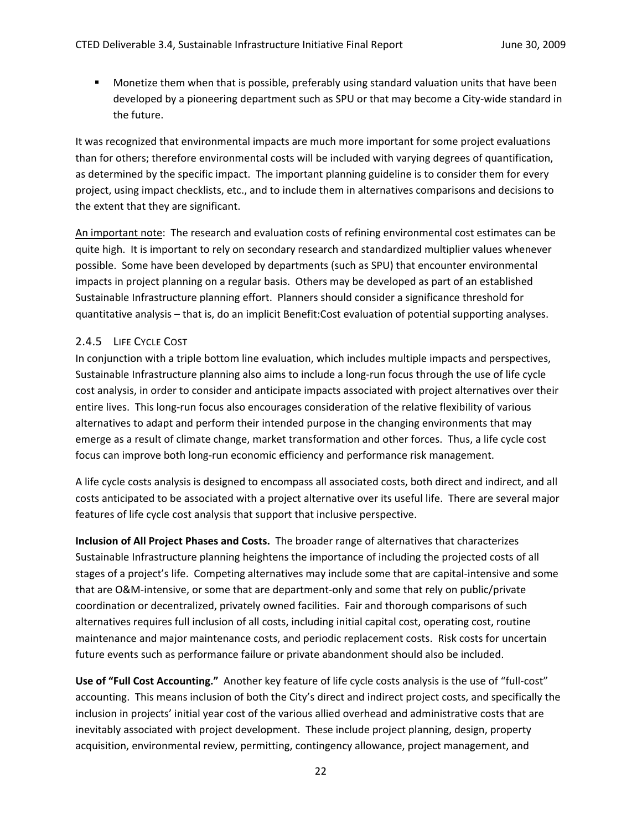Monetize them when that is possible, preferably using standard valuation units that have been developed by a pioneering department such as SPU or that may become a City-wide standard in the future.

It was recognized that environmental impacts are much more important for some project evaluations than for others; therefore environmental costs will be included with varying degrees of quantification, as determined by the specific impact. The important planning guideline is to consider them for every project, using impact checklists, etc., and to include them in alternatives comparisons and decisions to the extent that they are significant.

An important note: The research and evaluation costs of refining environmental cost estimates can be quite high. It is important to rely on secondary research and standardized multiplier values whenever possible. Some have been developed by departments (such as SPU) that encounter environmental impacts in project planning on a regular basis. Others may be developed as part of an established Sustainable Infrastructure planning effort. Planners should consider a significance threshold for quantitative analysis – that is, do an implicit Benefit:Cost evaluation of potential supporting analyses.

# 2.4.5 LIFE CYCLE COST

In conjunction with a triple bottom line evaluation, which includes multiple impacts and perspectives, Sustainable Infrastructure planning also aims to include a long-run focus through the use of life cycle cost analysis, in order to consider and anticipate impacts associated with project alternatives over their entire lives. This long-run focus also encourages consideration of the relative flexibility of various alternatives to adapt and perform their intended purpose in the changing environments that may emerge as a result of climate change, market transformation and other forces. Thus, a life cycle cost focus can improve both long‐run economic efficiency and performance risk management.

A life cycle costs analysis is designed to encompass all associated costs, both direct and indirect, and all costs anticipated to be associated with a project alternative over its useful life. There are several major features of life cycle cost analysis that support that inclusive perspective.

**Inclusion of All Project Phases and Costs.** The broader range of alternatives that characterizes Sustainable Infrastructure planning heightens the importance of including the projected costs of all stages of a project's life. Competing alternatives may include some that are capital-intensive and some that are O&M‐intensive, or some that are department‐only and some that rely on public/private coordination or decentralized, privately owned facilities. Fair and thorough comparisons of such alternatives requires full inclusion of all costs, including initial capital cost, operating cost, routine maintenance and major maintenance costs, and periodic replacement costs. Risk costs for uncertain future events such as performance failure or private abandonment should also be included.

**Use of "Full Cost Accounting."** Another key feature of life cycle costs analysis is the use of "full‐cost" accounting. This means inclusion of both the City's direct and indirect project costs, and specifically the inclusion in projects' initial year cost of the various allied overhead and administrative costs that are inevitably associated with project development. These include project planning, design, property acquisition, environmental review, permitting, contingency allowance, project management, and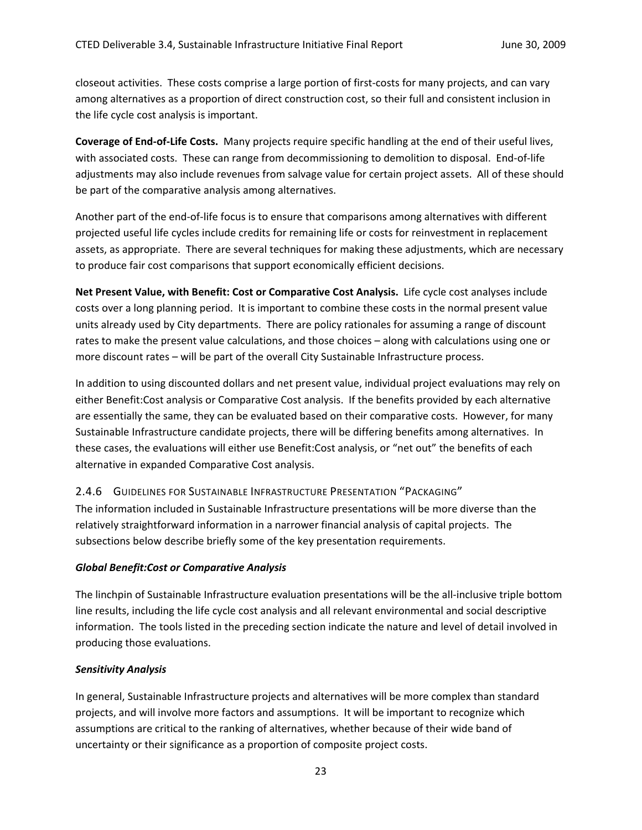closeout activities. These costs comprise a large portion of first‐costs for many projects, and can vary among alternatives as a proportion of direct construction cost, so their full and consistent inclusion in the life cycle cost analysis is important.

**Coverage of End‐of‐Life Costs.** Many projects require specific handling at the end of their useful lives, with associated costs. These can range from decommissioning to demolition to disposal. End-of-life adjustments may also include revenues from salvage value for certain project assets. All of these should be part of the comparative analysis among alternatives.

Another part of the end‐of‐life focus is to ensure that comparisons among alternatives with different projected useful life cycles include credits for remaining life or costs for reinvestment in replacement assets, as appropriate. There are several techniques for making these adjustments, which are necessary to produce fair cost comparisons that support economically efficient decisions.

**Net Present Value, with Benefit: Cost or Comparative Cost Analysis.** Life cycle cost analyses include costs over a long planning period. It is important to combine these costs in the normal present value units already used by City departments. There are policy rationales for assuming a range of discount rates to make the present value calculations, and those choices – along with calculations using one or more discount rates – will be part of the overall City Sustainable Infrastructure process.

In addition to using discounted dollars and net present value, individual project evaluations may rely on either Benefit:Cost analysis or Comparative Cost analysis. If the benefits provided by each alternative are essentially the same, they can be evaluated based on their comparative costs. However, for many Sustainable Infrastructure candidate projects, there will be differing benefits among alternatives. In these cases, the evaluations will either use Benefit:Cost analysis, or "net out" the benefits of each alternative in expanded Comparative Cost analysis.

# 2.4.6 GUIDELINES FOR SUSTAINABLE INFRASTRUCTURE PRESENTATION "PACKAGING"

The information included in Sustainable Infrastructure presentations will be more diverse than the relatively straightforward information in a narrower financial analysis of capital projects. The subsections below describe briefly some of the key presentation requirements.

#### *Global Benefit:Cost or Comparative Analysis*

The linchpin of Sustainable Infrastructure evaluation presentations will be the all‐inclusive triple bottom line results, including the life cycle cost analysis and all relevant environmental and social descriptive information. The tools listed in the preceding section indicate the nature and level of detail involved in producing those evaluations.

#### *Sensitivity Analysis*

In general, Sustainable Infrastructure projects and alternatives will be more complex than standard projects, and will involve more factors and assumptions. It will be important to recognize which assumptions are critical to the ranking of alternatives, whether because of their wide band of uncertainty or their significance as a proportion of composite project costs.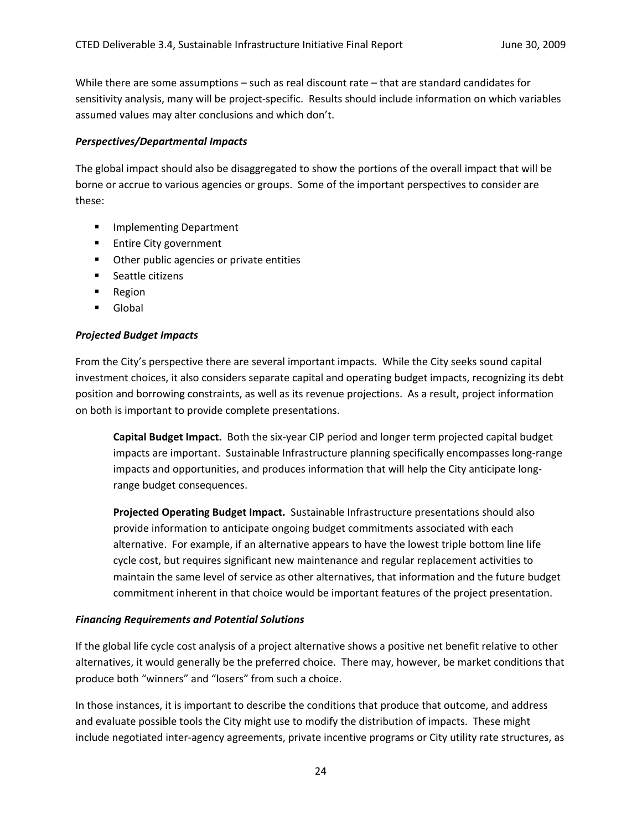While there are some assumptions – such as real discount rate – that are standard candidates for sensitivity analysis, many will be project‐specific. Results should include information on which variables assumed values may alter conclusions and which don't.

#### *Perspectives/Departmental Impacts*

The global impact should also be disaggregated to show the portions of the overall impact that will be borne or accrue to various agencies or groups. Some of the important perspectives to consider are these:

- **Implementing Department**
- **Entire City government**
- **•** Other public agencies or private entities
- **Seattle citizens**
- **Region**
- **Global**

#### *Projected Budget Impacts*

From the City's perspective there are several important impacts. While the City seeks sound capital investment choices, it also considers separate capital and operating budget impacts, recognizing its debt position and borrowing constraints, as well as its revenue projections. As a result, project information on both is important to provide complete presentations.

**Capital Budget Impact.** Both the six‐year CIP period and longer term projected capital budget impacts are important. Sustainable Infrastructure planning specifically encompasses long-range impacts and opportunities, and produces information that will help the City anticipate long‐ range budget consequences.

**Projected Operating Budget Impact.** Sustainable Infrastructure presentations should also provide information to anticipate ongoing budget commitments associated with each alternative. For example, if an alternative appears to have the lowest triple bottom line life cycle cost, but requires significant new maintenance and regular replacement activities to maintain the same level of service as other alternatives, that information and the future budget commitment inherent in that choice would be important features of the project presentation.

#### *Financing Requirements and Potential Solutions*

If the global life cycle cost analysis of a project alternative shows a positive net benefit relative to other alternatives, it would generally be the preferred choice. There may, however, be market conditions that produce both "winners" and "losers" from such a choice.

In those instances, it is important to describe the conditions that produce that outcome, and address and evaluate possible tools the City might use to modify the distribution of impacts. These might include negotiated inter‐agency agreements, private incentive programs or City utility rate structures, as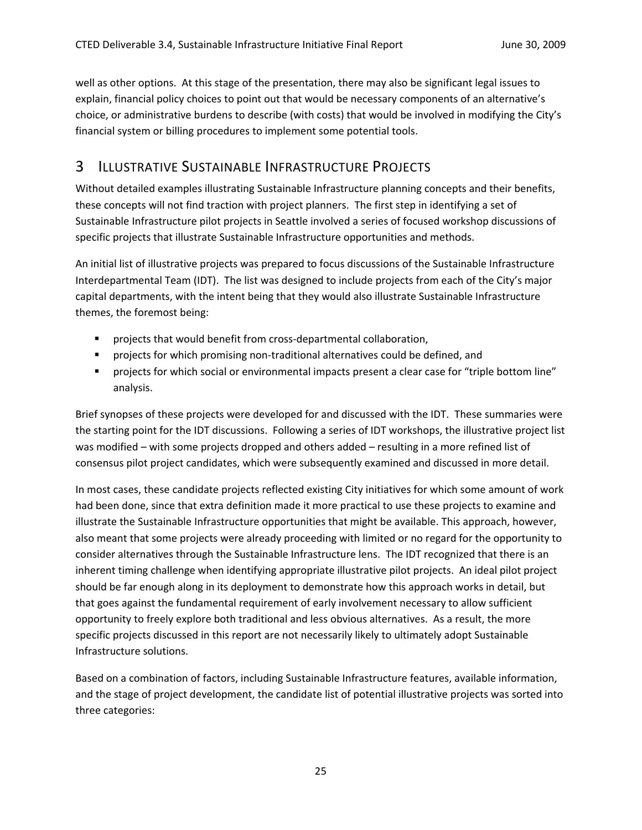well as other options. At this stage of the presentation, there may also be significant legal issues to explain, financial policy choices to point out that would be necessary components of an alternative's choice, or administrative burdens to describe (with costs) that would be involved in modifying the City's financial system or billing procedures to implement some potential tools.

# 3 ILLUSTRATIVE SUSTAINABLE INFRASTRUCTURE PROJECTS

Without detailed examples illustrating Sustainable Infrastructure planning concepts and their benefits, these concepts will not find traction with project planners. The first step in identifying a set of Sustainable Infrastructure pilot projects in Seattle involved a series of focused workshop discussions of specific projects that illustrate Sustainable Infrastructure opportunities and methods.

An initial list of illustrative projects was prepared to focus discussions of the Sustainable Infrastructure Interdepartmental Team (IDT). The list was designed to include projects from each of the City's major capital departments, with the intent being that they would also illustrate Sustainable Infrastructure themes, the foremost being:

- projects that would benefit from cross-departmental collaboration,
- projects for which promising non-traditional alternatives could be defined, and
- projects for which social or environmental impacts present a clear case for "triple bottom line" analysis.

Brief synopses of these projects were developed for and discussed with the IDT. These summaries were the starting point for the IDT discussions. Following a series of IDT workshops, the illustrative project list was modified – with some projects dropped and others added – resulting in a more refined list of consensus pilot project candidates, which were subsequently examined and discussed in more detail.

In most cases, these candidate projects reflected existing City initiatives for which some amount of work had been done, since that extra definition made it more practical to use these projects to examine and illustrate the Sustainable Infrastructure opportunities that might be available. This approach, however, also meant that some projects were already proceeding with limited or no regard for the opportunity to consider alternatives through the Sustainable Infrastructure lens. The IDT recognized that there is an inherent timing challenge when identifying appropriate illustrative pilot projects. An ideal pilot project should be far enough along in its deployment to demonstrate how this approach works in detail, but that goes against the fundamental requirement of early involvement necessary to allow sufficient opportunity to freely explore both traditional and less obvious alternatives. As a result, the more specific projects discussed in this report are not necessarily likely to ultimately adopt Sustainable Infrastructure solutions.

Based on a combination of factors, including Sustainable Infrastructure features, available information, and the stage of project development, the candidate list of potential illustrative projects was sorted into three categories: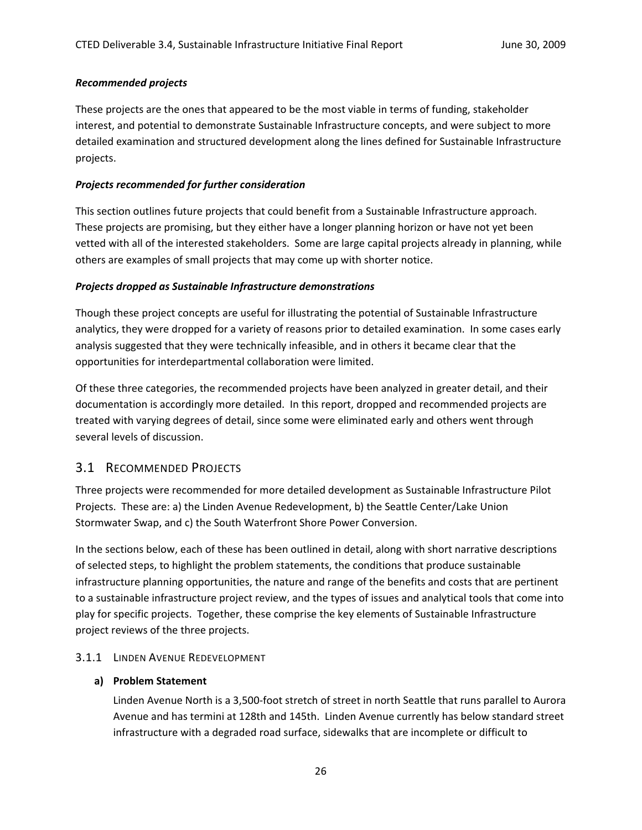#### *Recommended projects*

These projects are the ones that appeared to be the most viable in terms of funding, stakeholder interest, and potential to demonstrate Sustainable Infrastructure concepts, and were subject to more detailed examination and structured development along the lines defined for Sustainable Infrastructure projects.

## *Projects recommended for further consideration*

This section outlines future projects that could benefit from a Sustainable Infrastructure approach. These projects are promising, but they either have a longer planning horizon or have not yet been vetted with all of the interested stakeholders. Some are large capital projects already in planning, while others are examples of small projects that may come up with shorter notice.

### *Projects dropped as Sustainable Infrastructure demonstrations*

Though these project concepts are useful for illustrating the potential of Sustainable Infrastructure analytics, they were dropped for a variety of reasons prior to detailed examination. In some cases early analysis suggested that they were technically infeasible, and in others it became clear that the opportunities for interdepartmental collaboration were limited.

Of these three categories, the recommended projects have been analyzed in greater detail, and their documentation is accordingly more detailed. In this report, dropped and recommended projects are treated with varying degrees of detail, since some were eliminated early and others went through several levels of discussion.

# 3.1 RECOMMENDED PROJECTS

Three projects were recommended for more detailed development as Sustainable Infrastructure Pilot Projects. These are: a) the Linden Avenue Redevelopment, b) the Seattle Center/Lake Union Stormwater Swap, and c) the South Waterfront Shore Power Conversion.

In the sections below, each of these has been outlined in detail, along with short narrative descriptions of selected steps, to highlight the problem statements, the conditions that produce sustainable infrastructure planning opportunities, the nature and range of the benefits and costs that are pertinent to a sustainable infrastructure project review, and the types of issues and analytical tools that come into play for specific projects. Together, these comprise the key elements of Sustainable Infrastructure project reviews of the three projects.

# 3.1.1 LINDEN AVENUE REDEVELOPMENT

#### **a) Problem Statement**

Linden Avenue North is a 3,500‐foot stretch of street in north Seattle that runs parallel to Aurora Avenue and has termini at 128th and 145th. Linden Avenue currently has below standard street infrastructure with a degraded road surface, sidewalks that are incomplete or difficult to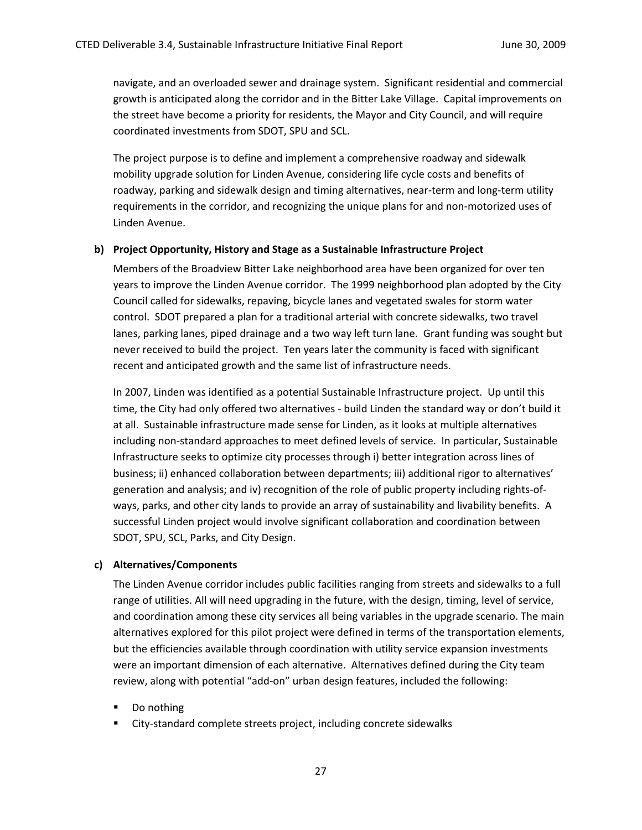navigate, and an overloaded sewer and drainage system. Significant residential and commercial growth is anticipated along the corridor and in the Bitter Lake Village. Capital improvements on the street have become a priority for residents, the Mayor and City Council, and will require coordinated investments from SDOT, SPU and SCL.

The project purpose is to define and implement a comprehensive roadway and sidewalk mobility upgrade solution for Linden Avenue, considering life cycle costs and benefits of roadway, parking and sidewalk design and timing alternatives, near-term and long-term utility requirements in the corridor, and recognizing the unique plans for and non-motorized uses of Linden Avenue.

#### **b) Project Opportunity, History and Stage as a Sustainable Infrastructure Project**

Members of the Broadview Bitter Lake neighborhood area have been organized for over ten years to improve the Linden Avenue corridor. The 1999 neighborhood plan adopted by the City Council called for sidewalks, repaving, bicycle lanes and vegetated swales for storm water control. SDOT prepared a plan for a traditional arterial with concrete sidewalks, two travel lanes, parking lanes, piped drainage and a two way left turn lane. Grant funding was sought but never received to build the project. Ten years later the community is faced with significant recent and anticipated growth and the same list of infrastructure needs.

In 2007, Linden was identified as a potential Sustainable Infrastructure project. Up until this time, the City had only offered two alternatives ‐ build Linden the standard way or don't build it at all. Sustainable infrastructure made sense for Linden, as it looks at multiple alternatives including non‐standard approaches to meet defined levels of service. In particular, Sustainable Infrastructure seeks to optimize city processes through i) better integration across lines of business; ii) enhanced collaboration between departments; iii) additional rigor to alternatives' generation and analysis; and iv) recognition of the role of public property including rights‐of‐ ways, parks, and other city lands to provide an array of sustainability and livability benefits. A successful Linden project would involve significant collaboration and coordination between SDOT, SPU, SCL, Parks, and City Design.

#### **c) Alternatives/Components**

The Linden Avenue corridor includes public facilities ranging from streets and sidewalks to a full range of utilities. All will need upgrading in the future, with the design, timing, level of service, and coordination among these city services all being variables in the upgrade scenario. The main alternatives explored for this pilot project were defined in terms of the transportation elements, but the efficiencies available through coordination with utility service expansion investments were an important dimension of each alternative. Alternatives defined during the City team review, along with potential "add‐on" urban design features, included the following:

- Do nothing
- City-standard complete streets project, including concrete sidewalks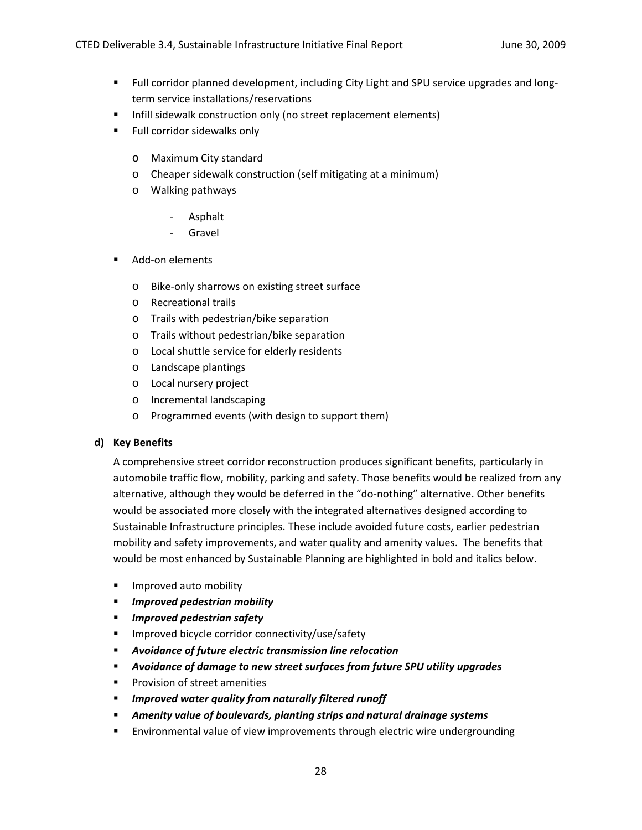- Full corridor planned development, including City Light and SPU service upgrades and longterm service installations/reservations
- **Infill sidewalk construction only (no street replacement elements)**
- **Full corridor sidewalks only** 
	- o Maximum City standard
	- o Cheaper sidewalk construction (self mitigating at a minimum)
	- o Walking pathways
		- ‐ Asphalt
		- ‐ Gravel
- Add-on elements
	- o Bike‐only sharrows on existing street surface
	- o Recreational trails
	- o Trails with pedestrian/bike separation
	- o Trails without pedestrian/bike separation
	- o Local shuttle service for elderly residents
	- o Landscape plantings
	- o Local nursery project
	- o Incremental landscaping
	- o Programmed events (with design to support them)

#### **d) Key Benefits**

A comprehensive street corridor reconstruction produces significant benefits, particularly in automobile traffic flow, mobility, parking and safety. Those benefits would be realized from any alternative, although they would be deferred in the "do-nothing" alternative. Other benefits would be associated more closely with the integrated alternatives designed according to Sustainable Infrastructure principles. These include avoided future costs, earlier pedestrian mobility and safety improvements, and water quality and amenity values. The benefits that would be most enhanced by Sustainable Planning are highlighted in bold and italics below.

- **IMPROVED AUTOMOBILITY**
- *Improved pedestrian mobility*
- *Improved pedestrian safety*
- **IMPROVED BICYCLE COLLEGATE CONNECTIVITY** USE/Safety
- *Avoidance of future electric transmission line relocation*
- *Avoidance of damage to new street surfaces from future SPU utility upgrades*
- **Provision of street amenities**
- *Improved water quality from naturally filtered runoff*
- *Amenity value of boulevards, planting strips and natural drainage systems*
- Environmental value of view improvements through electric wire undergrounding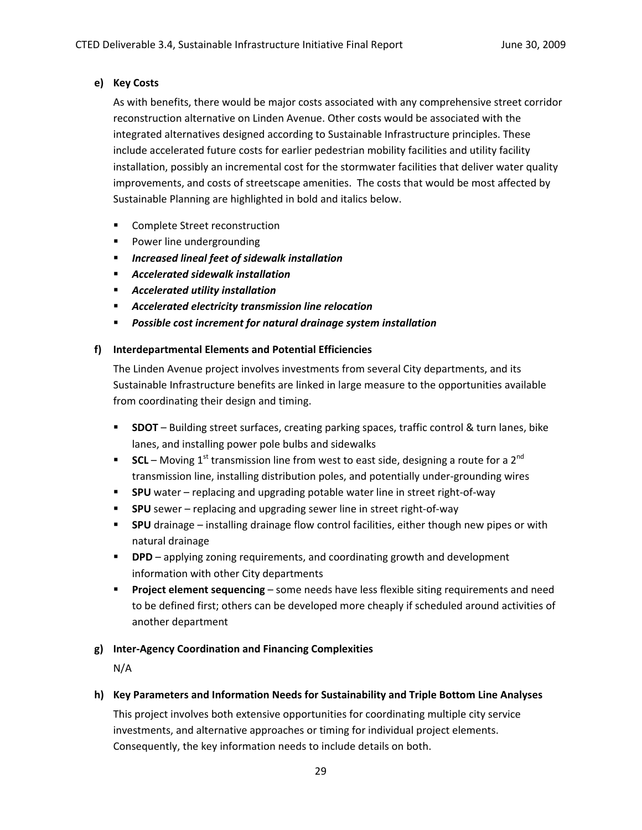# **e) Key Costs**

As with benefits, there would be major costs associated with any comprehensive street corridor reconstruction alternative on Linden Avenue. Other costs would be associated with the integrated alternatives designed according to Sustainable Infrastructure principles. These include accelerated future costs for earlier pedestrian mobility facilities and utility facility installation, possibly an incremental cost for the stormwater facilities that deliver water quality improvements, and costs of streetscape amenities. The costs that would be most affected by Sustainable Planning are highlighted in bold and italics below.

- **EXECOMPLETE Street reconstruction**
- **Power line undergrounding**
- *Increased lineal feet of sidewalk installation*
- *Accelerated sidewalk installation*
- *Accelerated utility installation*
- *Accelerated electricity transmission line relocation*
- *Possible cost increment for natural drainage system installation*

# **f) Interdepartmental Elements and Potential Efficiencies**

The Linden Avenue project involves investments from several City departments, and its Sustainable Infrastructure benefits are linked in large measure to the opportunities available from coordinating their design and timing.

- **SDOT** Building street surfaces, creating parking spaces, traffic control & turn lanes, bike lanes, and installing power pole bulbs and sidewalks
- **SCL** Moving 1<sup>st</sup> transmission line from west to east side, designing a route for a 2<sup>nd</sup> transmission line, installing distribution poles, and potentially under‐grounding wires
- SPU water replacing and upgrading potable water line in street right-of-way
- **SPU** sewer replacing and upgrading sewer line in street right-of-way
- **SPU** drainage installing drainage flow control facilities, either though new pipes or with natural drainage
- **DPD** applying zoning requirements, and coordinating growth and development information with other City departments
- **Project element sequencing** some needs have less flexible siting requirements and need to be defined first; others can be developed more cheaply if scheduled around activities of another department

# **g) Inter‐Agency Coordination and Financing Complexities**

N/A

# **h) Key Parameters and Information Needs for Sustainability and Triple Bottom Line Analyses**

This project involves both extensive opportunities for coordinating multiple city service investments, and alternative approaches or timing for individual project elements. Consequently, the key information needs to include details on both.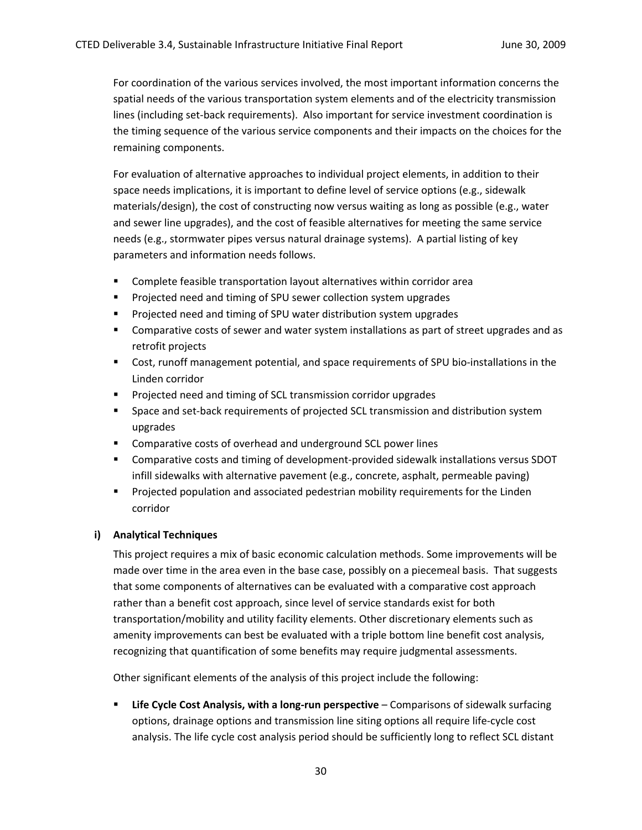For coordination of the various services involved, the most important information concerns the spatial needs of the various transportation system elements and of the electricity transmission lines (including set-back requirements). Also important for service investment coordination is the timing sequence of the various service components and their impacts on the choices for the remaining components.

For evaluation of alternative approaches to individual project elements, in addition to their space needs implications, it is important to define level of service options (e.g., sidewalk materials/design), the cost of constructing now versus waiting as long as possible (e.g., water and sewer line upgrades), and the cost of feasible alternatives for meeting the same service needs (e.g., stormwater pipes versus natural drainage systems). A partial listing of key parameters and information needs follows.

- Complete feasible transportation layout alternatives within corridor area
- **Projected need and timing of SPU sewer collection system upgrades**
- **Projected need and timing of SPU water distribution system upgrades**
- Comparative costs of sewer and water system installations as part of street upgrades and as retrofit projects
- Cost, runoff management potential, and space requirements of SPU bio-installations in the Linden corridor
- **Projected need and timing of SCL transmission corridor upgrades**
- Space and set-back requirements of projected SCL transmission and distribution system upgrades
- **EXECOM** Comparative costs of overhead and underground SCL power lines
- Comparative costs and timing of development-provided sidewalk installations versus SDOT infill sidewalks with alternative pavement (e.g., concrete, asphalt, permeable paving)
- **Projected population and associated pedestrian mobility requirements for the Linden** corridor

#### **i) Analytical Techniques**

This project requires a mix of basic economic calculation methods. Some improvements will be made over time in the area even in the base case, possibly on a piecemeal basis. That suggests that some components of alternatives can be evaluated with a comparative cost approach rather than a benefit cost approach, since level of service standards exist for both transportation/mobility and utility facility elements. Other discretionary elements such as amenity improvements can best be evaluated with a triple bottom line benefit cost analysis, recognizing that quantification of some benefits may require judgmental assessments.

Other significant elements of the analysis of this project include the following:

 **Life Cycle Cost Analysis, with a long‐run perspective** – Comparisons of sidewalk surfacing options, drainage options and transmission line siting options all require life‐cycle cost analysis. The life cycle cost analysis period should be sufficiently long to reflect SCL distant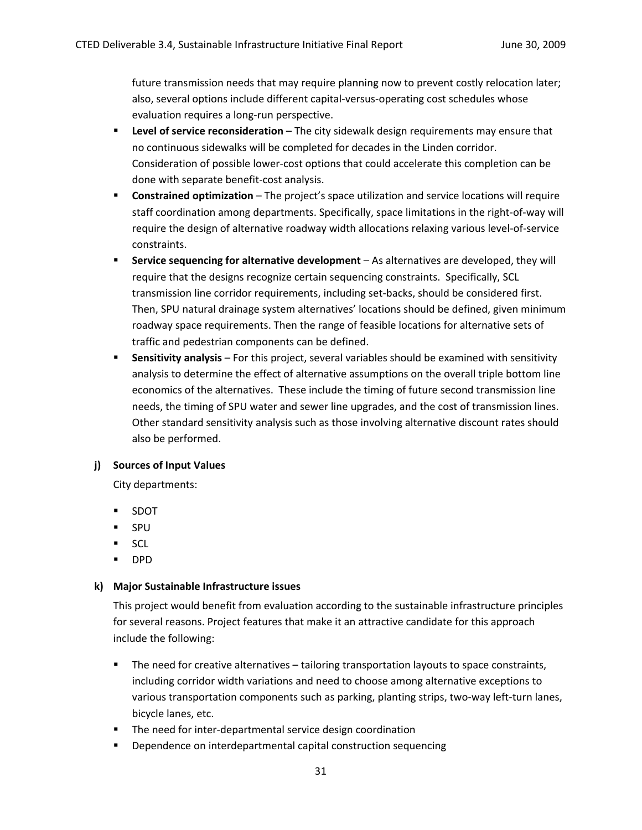future transmission needs that may require planning now to prevent costly relocation later; also, several options include different capital‐versus‐operating cost schedules whose evaluation requires a long‐run perspective.

- **Level of service reconsideration** The city sidewalk design requirements may ensure that no continuous sidewalks will be completed for decades in the Linden corridor. Consideration of possible lower‐cost options that could accelerate this completion can be done with separate benefit‐cost analysis.
- **Constrained optimization** The project's space utilization and service locations will require staff coordination among departments. Specifically, space limitations in the right‐of‐way will require the design of alternative roadway width allocations relaxing various level‐of‐service constraints.
- **Service sequencing for alternative development** As alternatives are developed, they will require that the designs recognize certain sequencing constraints. Specifically, SCL transmission line corridor requirements, including set‐backs, should be considered first. Then, SPU natural drainage system alternatives' locations should be defined, given minimum roadway space requirements. Then the range of feasible locations for alternative sets of traffic and pedestrian components can be defined.
- **Sensitivity analysis** For this project, several variables should be examined with sensitivity analysis to determine the effect of alternative assumptions on the overall triple bottom line economics of the alternatives. These include the timing of future second transmission line needs, the timing of SPU water and sewer line upgrades, and the cost of transmission lines. Other standard sensitivity analysis such as those involving alternative discount rates should also be performed.

#### **j) Sources of Input Values**

City departments:

- SDOT
- **SPU**
- $SCL$
- DPD

#### **k) Major Sustainable Infrastructure issues**

This project would benefit from evaluation according to the sustainable infrastructure principles for several reasons. Project features that make it an attractive candidate for this approach include the following:

- The need for creative alternatives tailoring transportation layouts to space constraints, including corridor width variations and need to choose among alternative exceptions to various transportation components such as parking, planting strips, two-way left-turn lanes, bicycle lanes, etc.
- The need for inter-departmental service design coordination
- **Dependence on interdepartmental capital construction sequencing**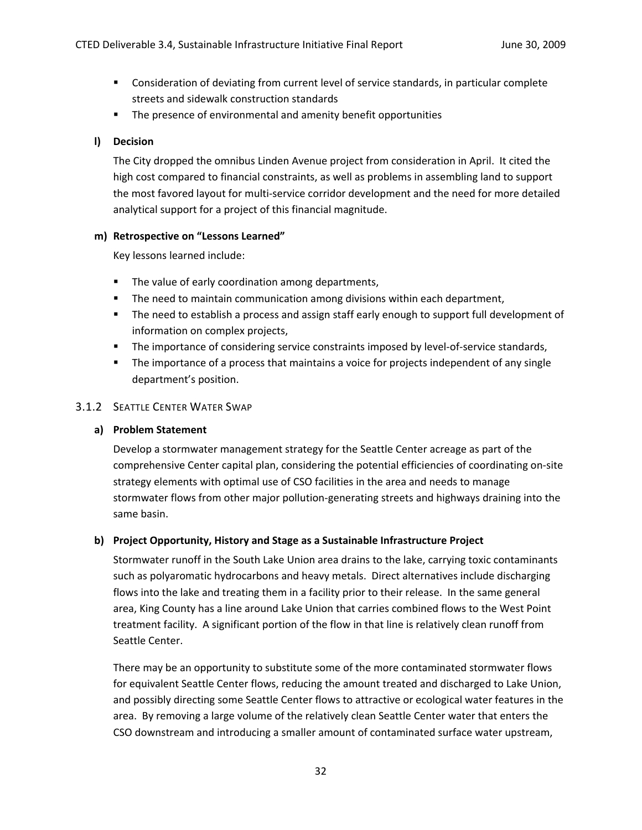- Consideration of deviating from current level of service standards, in particular complete streets and sidewalk construction standards
- **The presence of environmental and amenity benefit opportunities**

#### **l) Decision**

The City dropped the omnibus Linden Avenue project from consideration in April. It cited the high cost compared to financial constraints, as well as problems in assembling land to support the most favored layout for multi‐service corridor development and the need for more detailed analytical support for a project of this financial magnitude.

#### **m) Retrospective on "Lessons Learned"**

Key lessons learned include:

- **The value of early coordination among departments,**
- **The need to maintain communication among divisions within each department,**
- **The need to establish a process and assign staff early enough to support full development of** information on complex projects,
- The importance of considering service constraints imposed by level-of-service standards,
- **The importance of a process that maintains a voice for projects independent of any single** department's position.

### 3.1.2 SEATTLE CENTER WATER SWAP

#### **a) Problem Statement**

Develop a stormwater management strategy for the Seattle Center acreage as part of the comprehensive Center capital plan, considering the potential efficiencies of coordinating on‐site strategy elements with optimal use of CSO facilities in the area and needs to manage stormwater flows from other major pollution‐generating streets and highways draining into the same basin.

#### **b) Project Opportunity, History and Stage as a Sustainable Infrastructure Project**

Stormwater runoff in the South Lake Union area drains to the lake, carrying toxic contaminants such as polyaromatic hydrocarbons and heavy metals. Direct alternatives include discharging flows into the lake and treating them in a facility prior to their release. In the same general area, King County has a line around Lake Union that carries combined flows to the West Point treatment facility. A significant portion of the flow in that line is relatively clean runoff from Seattle Center.

There may be an opportunity to substitute some of the more contaminated stormwater flows for equivalent Seattle Center flows, reducing the amount treated and discharged to Lake Union, and possibly directing some Seattle Center flows to attractive or ecological water features in the area. By removing a large volume of the relatively clean Seattle Center water that enters the CSO downstream and introducing a smaller amount of contaminated surface water upstream,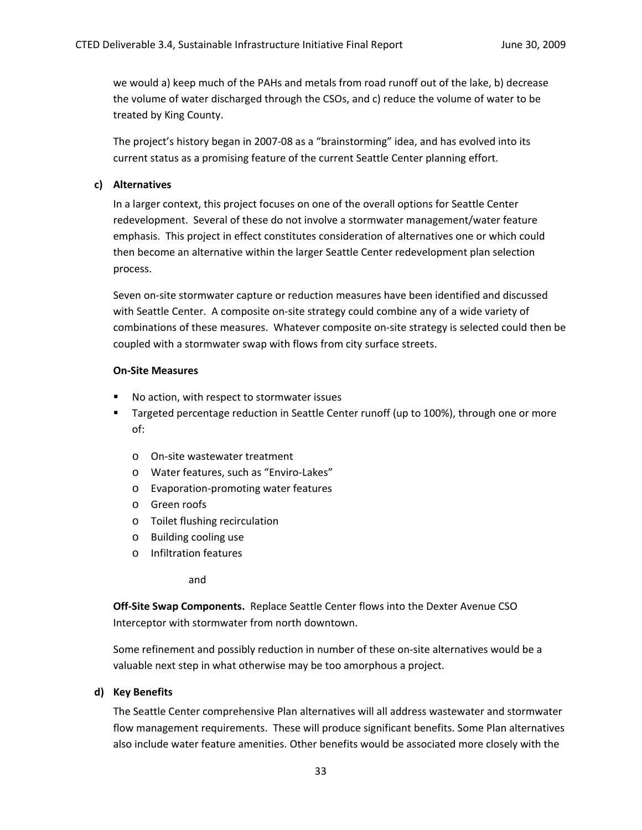we would a) keep much of the PAHs and metals from road runoff out of the lake, b) decrease the volume of water discharged through the CSOs, and c) reduce the volume of water to be treated by King County.

The project's history began in 2007‐08 as a "brainstorming" idea, and has evolved into its current status as a promising feature of the current Seattle Center planning effort.

#### **c) Alternatives**

In a larger context, this project focuses on one of the overall options for Seattle Center redevelopment. Several of these do not involve a stormwater management/water feature emphasis. This project in effect constitutes consideration of alternatives one or which could then become an alternative within the larger Seattle Center redevelopment plan selection process.

Seven on‐site stormwater capture or reduction measures have been identified and discussed with Seattle Center. A composite on-site strategy could combine any of a wide variety of combinations of these measures. Whatever composite on-site strategy is selected could then be coupled with a stormwater swap with flows from city surface streets.

#### **On‐Site Measures**

- No action, with respect to stormwater issues
- **Targeted percentage reduction in Seattle Center runoff (up to 100%), through one or more** of:
	- o On‐site wastewater treatment
	- o Water features, such as "Enviro‐Lakes"
	- o Evaporation‐promoting water features
	- o Green roofs
	- o Toilet flushing recirculation
	- o Building cooling use
	- o Infiltration features

and

**Off‐Site Swap Components.** Replace Seattle Center flows into the Dexter Avenue CSO Interceptor with stormwater from north downtown.

Some refinement and possibly reduction in number of these on‐site alternatives would be a valuable next step in what otherwise may be too amorphous a project.

#### **d) Key Benefits**

The Seattle Center comprehensive Plan alternatives will all address wastewater and stormwater flow management requirements. These will produce significant benefits. Some Plan alternatives also include water feature amenities. Other benefits would be associated more closely with the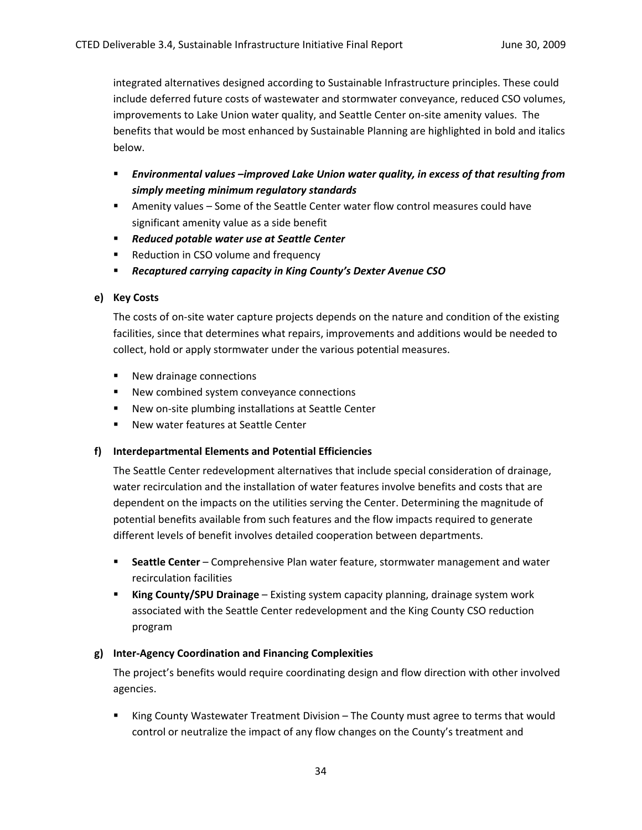integrated alternatives designed according to Sustainable Infrastructure principles. These could include deferred future costs of wastewater and stormwater conveyance, reduced CSO volumes, improvements to Lake Union water quality, and Seattle Center on‐site amenity values. The benefits that would be most enhanced by Sustainable Planning are highlighted in bold and italics below.

- *Environmental values –improved Lake Union water quality, in excess of that resulting from simply meeting minimum regulatory standards*
- Amenity values Some of the Seattle Center water flow control measures could have significant amenity value as a side benefit
- *Reduced potable water use at Seattle Center*
- Reduction in CSO volume and frequency
- *Recaptured carrying capacity in King County's Dexter Avenue CSO*

# **e) Key Costs**

The costs of on‐site water capture projects depends on the nature and condition of the existing facilities, since that determines what repairs, improvements and additions would be needed to collect, hold or apply stormwater under the various potential measures.

- New drainage connections
- New combined system conveyance connections
- New on-site plumbing installations at Seattle Center
- New water features at Seattle Center

# **f) Interdepartmental Elements and Potential Efficiencies**

The Seattle Center redevelopment alternatives that include special consideration of drainage, water recirculation and the installation of water features involve benefits and costs that are dependent on the impacts on the utilities serving the Center. Determining the magnitude of potential benefits available from such features and the flow impacts required to generate different levels of benefit involves detailed cooperation between departments.

- **Seattle Center** Comprehensive Plan water feature, stormwater management and water recirculation facilities
- **King County/SPU Drainage** Existing system capacity planning, drainage system work associated with the Seattle Center redevelopment and the King County CSO reduction program

# **g) Inter‐Agency Coordination and Financing Complexities**

The project's benefits would require coordinating design and flow direction with other involved agencies.

 King County Wastewater Treatment Division – The County must agree to terms that would control or neutralize the impact of any flow changes on the County's treatment and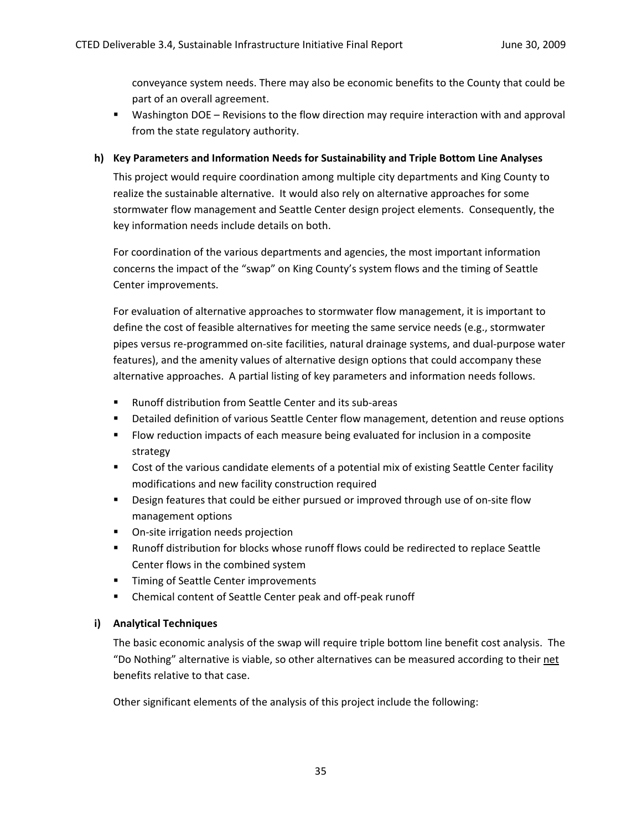conveyance system needs. There may also be economic benefits to the County that could be part of an overall agreement.

 Washington DOE – Revisions to the flow direction may require interaction with and approval from the state regulatory authority.

#### **h) Key Parameters and Information Needs for Sustainability and Triple Bottom Line Analyses**

This project would require coordination among multiple city departments and King County to realize the sustainable alternative. It would also rely on alternative approaches for some stormwater flow management and Seattle Center design project elements. Consequently, the key information needs include details on both.

For coordination of the various departments and agencies, the most important information concerns the impact of the "swap" on King County's system flows and the timing of Seattle Center improvements.

For evaluation of alternative approaches to stormwater flow management, it is important to define the cost of feasible alternatives for meeting the same service needs (e.g., stormwater pipes versus re‐programmed on‐site facilities, natural drainage systems, and dual‐purpose water features), and the amenity values of alternative design options that could accompany these alternative approaches. A partial listing of key parameters and information needs follows.

- Runoff distribution from Seattle Center and its sub-areas
- **•** Detailed definition of various Seattle Center flow management, detention and reuse options
- Flow reduction impacts of each measure being evaluated for inclusion in a composite strategy
- Cost of the various candidate elements of a potential mix of existing Seattle Center facility modifications and new facility construction required
- Design features that could be either pursued or improved through use of on-site flow management options
- On-site irrigation needs projection
- Runoff distribution for blocks whose runoff flows could be redirected to replace Seattle Center flows in the combined system
- **Timing of Seattle Center improvements**
- Chemical content of Seattle Center peak and off-peak runoff

#### **i) Analytical Techniques**

The basic economic analysis of the swap will require triple bottom line benefit cost analysis. The "Do Nothing" alternative is viable, so other alternatives can be measured according to their net benefits relative to that case.

Other significant elements of the analysis of this project include the following: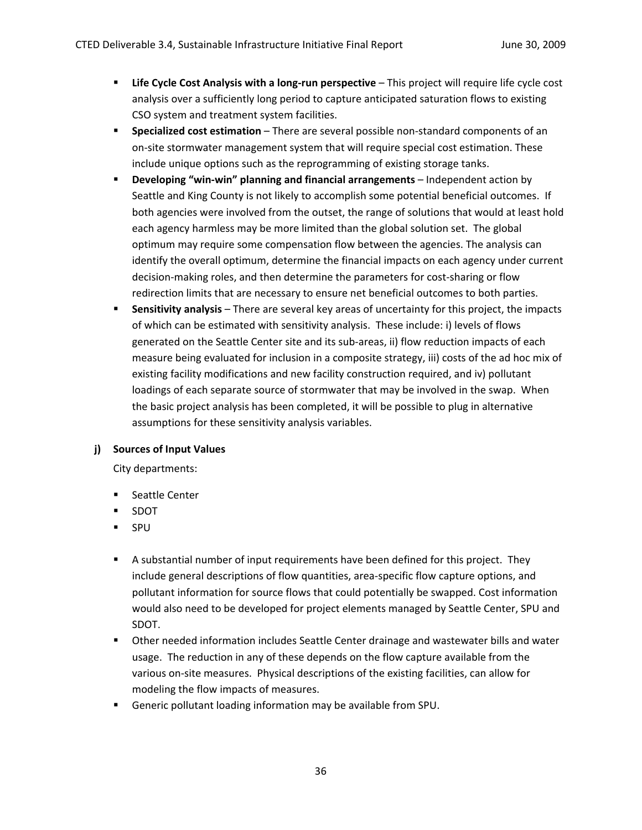- **Life Cycle Cost Analysis with a long‐run perspective** This project will require life cycle cost analysis over a sufficiently long period to capture anticipated saturation flows to existing CSO system and treatment system facilities.
- **Specialized cost estimation** There are several possible non-standard components of an on‐site stormwater management system that will require special cost estimation. These include unique options such as the reprogramming of existing storage tanks.
- **Developing "win‐win" planning and financial arrangements** Independent action by Seattle and King County is not likely to accomplish some potential beneficial outcomes. If both agencies were involved from the outset, the range of solutions that would at least hold each agency harmless may be more limited than the global solution set. The global optimum may require some compensation flow between the agencies. The analysis can identify the overall optimum, determine the financial impacts on each agency under current decision-making roles, and then determine the parameters for cost-sharing or flow redirection limits that are necessary to ensure net beneficial outcomes to both parties.
- **Sensitivity analysis** There are several key areas of uncertainty for this project, the impacts of which can be estimated with sensitivity analysis. These include: i) levels of flows generated on the Seattle Center site and its sub-areas, ii) flow reduction impacts of each measure being evaluated for inclusion in a composite strategy, iii) costs of the ad hoc mix of existing facility modifications and new facility construction required, and iv) pollutant loadings of each separate source of stormwater that may be involved in the swap. When the basic project analysis has been completed, it will be possible to plug in alternative assumptions for these sensitivity analysis variables.

# **j) Sources of Input Values**

City departments:

- **EXEC** Seattle Center
- SDOT
- **SPU**
- A substantial number of input requirements have been defined for this project. They include general descriptions of flow quantities, area‐specific flow capture options, and pollutant information for source flows that could potentially be swapped. Cost information would also need to be developed for project elements managed by Seattle Center, SPU and SDOT.
- Other needed information includes Seattle Center drainage and wastewater bills and water usage. The reduction in any of these depends on the flow capture available from the various on‐site measures. Physical descriptions of the existing facilities, can allow for modeling the flow impacts of measures.
- Generic pollutant loading information may be available from SPU.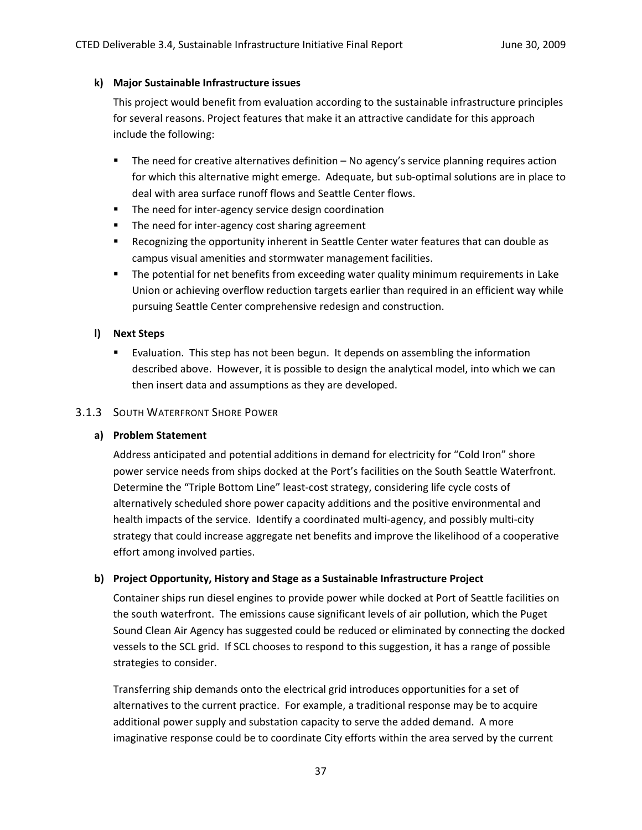### **k) Major Sustainable Infrastructure issues**

This project would benefit from evaluation according to the sustainable infrastructure principles for several reasons. Project features that make it an attractive candidate for this approach include the following:

- The need for creative alternatives definition No agency's service planning requires action for which this alternative might emerge. Adequate, but sub‐optimal solutions are in place to deal with area surface runoff flows and Seattle Center flows.
- The need for inter-agency service design coordination
- The need for inter-agency cost sharing agreement
- **EXECO EXECOGO FIGO THE OPIGET IN SEALLY FOR THE OPIGET ASSET IS ALLY FEATLE ASSET IS ALLY FEATLE ASSET ASSET I** campus visual amenities and stormwater management facilities.
- The potential for net benefits from exceeding water quality minimum requirements in Lake Union or achieving overflow reduction targets earlier than required in an efficient way while pursuing Seattle Center comprehensive redesign and construction.

# **l) Next Steps**

 Evaluation. This step has not been begun. It depends on assembling the information described above. However, it is possible to design the analytical model, into which we can then insert data and assumptions as they are developed.

### 3.1.3 SOUTH WATERFRONT SHORE POWER

# **a) Problem Statement**

Address anticipated and potential additions in demand for electricity for "Cold Iron" shore power service needs from ships docked at the Port's facilities on the South Seattle Waterfront. Determine the "Triple Bottom Line" least-cost strategy, considering life cycle costs of alternatively scheduled shore power capacity additions and the positive environmental and health impacts of the service. Identify a coordinated multi‐agency, and possibly multi‐city strategy that could increase aggregate net benefits and improve the likelihood of a cooperative effort among involved parties.

# **b) Project Opportunity, History and Stage as a Sustainable Infrastructure Project**

Container ships run diesel engines to provide power while docked at Port of Seattle facilities on the south waterfront. The emissions cause significant levels of air pollution, which the Puget Sound Clean Air Agency has suggested could be reduced or eliminated by connecting the docked vessels to the SCL grid. If SCL chooses to respond to this suggestion, it has a range of possible strategies to consider.

Transferring ship demands onto the electrical grid introduces opportunities for a set of alternatives to the current practice. For example, a traditional response may be to acquire additional power supply and substation capacity to serve the added demand. A more imaginative response could be to coordinate City efforts within the area served by the current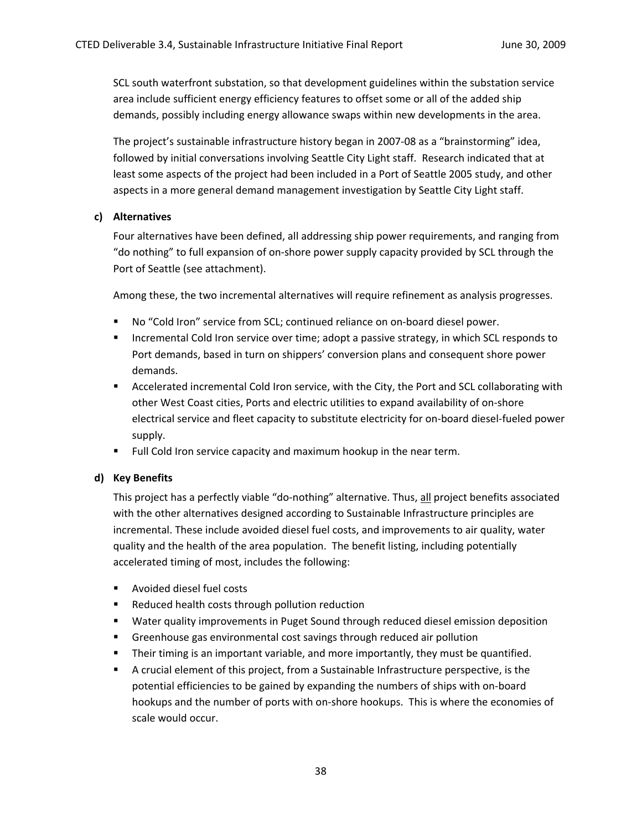SCL south waterfront substation, so that development guidelines within the substation service area include sufficient energy efficiency features to offset some or all of the added ship demands, possibly including energy allowance swaps within new developments in the area.

The project's sustainable infrastructure history began in 2007‐08 as a "brainstorming" idea, followed by initial conversations involving Seattle City Light staff. Research indicated that at least some aspects of the project had been included in a Port of Seattle 2005 study, and other aspects in a more general demand management investigation by Seattle City Light staff.

#### **c) Alternatives**

Four alternatives have been defined, all addressing ship power requirements, and ranging from "do nothing" to full expansion of on‐shore power supply capacity provided by SCL through the Port of Seattle (see attachment).

Among these, the two incremental alternatives will require refinement as analysis progresses.

- No "Cold Iron" service from SCL; continued reliance on on-board diesel power.
- **Incremental Cold Iron service over time; adopt a passive strategy, in which SCL responds to** Port demands, based in turn on shippers' conversion plans and consequent shore power demands.
- **Accelerated incremental Cold Iron service, with the City, the Port and SCL collaborating with** other West Coast cities, Ports and electric utilities to expand availability of on‐shore electrical service and fleet capacity to substitute electricity for on‐board diesel‐fueled power supply.
- **Full Cold Iron service capacity and maximum hookup in the near term.**

#### **d) Key Benefits**

This project has a perfectly viable "do‐nothing" alternative. Thus, all project benefits associated with the other alternatives designed according to Sustainable Infrastructure principles are incremental. These include avoided diesel fuel costs, and improvements to air quality, water quality and the health of the area population. The benefit listing, including potentially accelerated timing of most, includes the following:

- **Avoided diesel fuel costs**
- Reduced health costs through pollution reduction
- **Water quality improvements in Puget Sound through reduced diesel emission deposition**
- Greenhouse gas environmental cost savings through reduced air pollution
- **Their timing is an important variable, and more importantly, they must be quantified.**
- A crucial element of this project, from a Sustainable Infrastructure perspective, is the potential efficiencies to be gained by expanding the numbers of ships with on‐board hookups and the number of ports with on‐shore hookups. This is where the economies of scale would occur.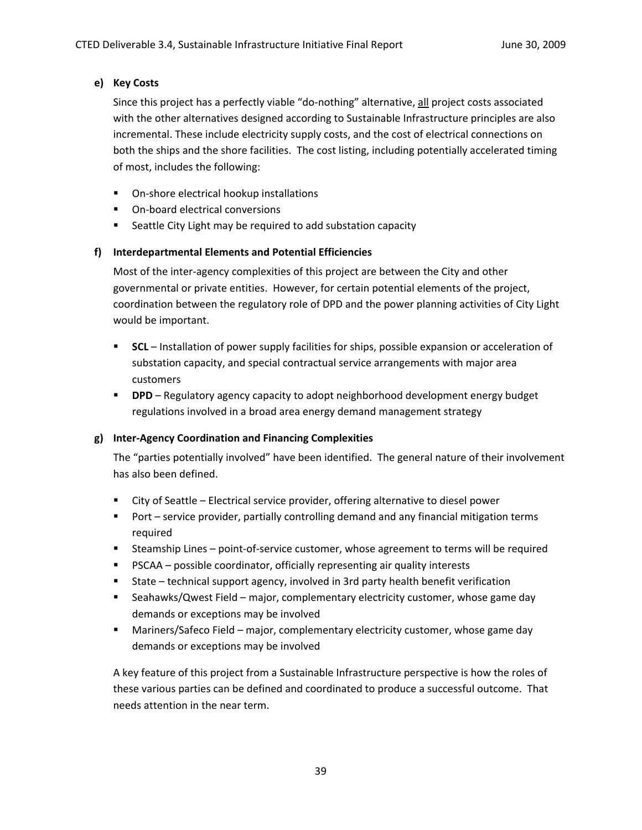# **e) Key Costs**

Since this project has a perfectly viable "do‐nothing" alternative, all project costs associated with the other alternatives designed according to Sustainable Infrastructure principles are also incremental. These include electricity supply costs, and the cost of electrical connections on both the ships and the shore facilities. The cost listing, including potentially accelerated timing of most, includes the following:

- On-shore electrical hookup installations
- On-board electrical conversions
- Seattle City Light may be required to add substation capacity

### **f) Interdepartmental Elements and Potential Efficiencies**

Most of the inter‐agency complexities of this project are between the City and other governmental or private entities. However, for certain potential elements of the project, coordination between the regulatory role of DPD and the power planning activities of City Light would be important.

- **SCL** Installation of power supply facilities for ships, possible expansion or acceleration of substation capacity, and special contractual service arrangements with major area customers
- **DPD** Regulatory agency capacity to adopt neighborhood development energy budget regulations involved in a broad area energy demand management strategy

# **g) Inter‐Agency Coordination and Financing Complexities**

The "parties potentially involved" have been identified. The general nature of their involvement has also been defined.

- City of Seattle Electrical service provider, offering alternative to diesel power
- **Port service provider, partially controlling demand and any financial mitigation terms** required
- Steamship Lines point-of-service customer, whose agreement to terms will be required
- **PSCAA** possible coordinator, officially representing air quality interests
- State technical support agency, involved in 3rd party health benefit verification
- Seahawks/Qwest Field major, complementary electricity customer, whose game day demands or exceptions may be involved
- Mariners/Safeco Field major, complementary electricity customer, whose game day demands or exceptions may be involved

A key feature of this project from a Sustainable Infrastructure perspective is how the roles of these various parties can be defined and coordinated to produce a successful outcome. That needs attention in the near term.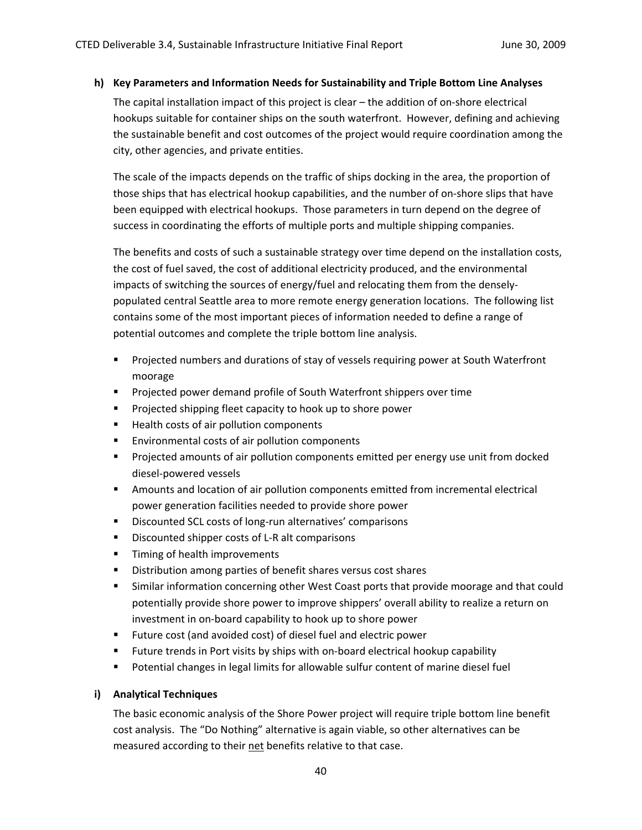#### **h) Key Parameters and Information Needs for Sustainability and Triple Bottom Line Analyses**

The capital installation impact of this project is clear – the addition of on‐shore electrical hookups suitable for container ships on the south waterfront. However, defining and achieving the sustainable benefit and cost outcomes of the project would require coordination among the city, other agencies, and private entities.

The scale of the impacts depends on the traffic of ships docking in the area, the proportion of those ships that has electrical hookup capabilities, and the number of on‐shore slips that have been equipped with electrical hookups. Those parameters in turn depend on the degree of success in coordinating the efforts of multiple ports and multiple shipping companies.

The benefits and costs of such a sustainable strategy over time depend on the installation costs, the cost of fuel saved, the cost of additional electricity produced, and the environmental impacts of switching the sources of energy/fuel and relocating them from the densely‐ populated central Seattle area to more remote energy generation locations. The following list contains some of the most important pieces of information needed to define a range of potential outcomes and complete the triple bottom line analysis.

- **Projected numbers and durations of stay of vessels requiring power at South Waterfront** moorage
- **Projected power demand profile of South Waterfront shippers over time**
- **Projected shipping fleet capacity to hook up to shore power**
- **Health costs of air pollution components**
- **Environmental costs of air pollution components**
- Projected amounts of air pollution components emitted per energy use unit from docked diesel‐powered vessels
- Amounts and location of air pollution components emitted from incremental electrical power generation facilities needed to provide shore power
- Discounted SCL costs of long-run alternatives' comparisons
- Discounted shipper costs of L-R alt comparisons
- **Timing of health improvements**
- **Distribution among parties of benefit shares versus cost shares**
- Similar information concerning other West Coast ports that provide moorage and that could potentially provide shore power to improve shippers' overall ability to realize a return on investment in on‐board capability to hook up to shore power
- Future cost (and avoided cost) of diesel fuel and electric power
- Future trends in Port visits by ships with on-board electrical hookup capability
- **Potential changes in legal limits for allowable sulfur content of marine diesel fuel**

#### **i) Analytical Techniques**

The basic economic analysis of the Shore Power project will require triple bottom line benefit cost analysis. The "Do Nothing" alternative is again viable, so other alternatives can be measured according to their net benefits relative to that case.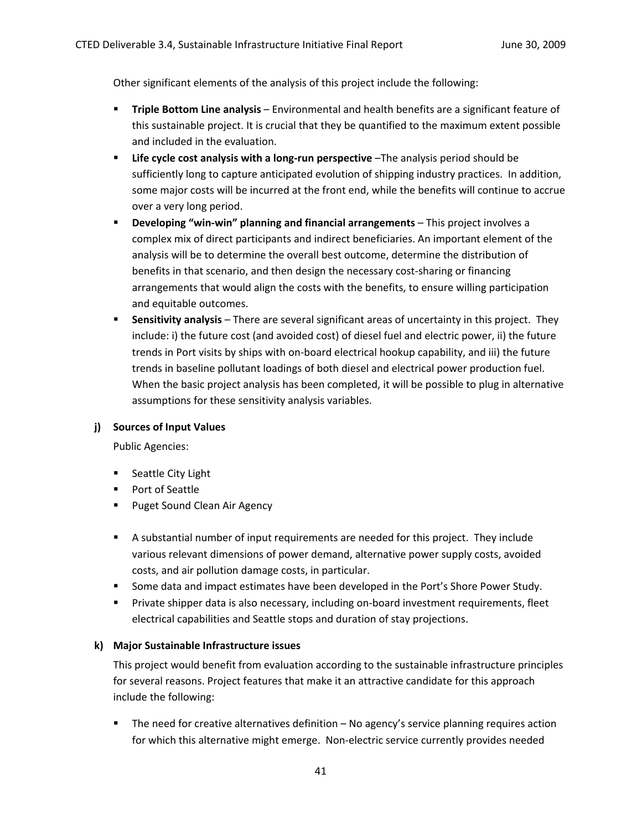Other significant elements of the analysis of this project include the following:

- **Triple Bottom Line analysis** Environmental and health benefits are a significant feature of this sustainable project. It is crucial that they be quantified to the maximum extent possible and included in the evaluation.
- **Life cycle cost analysis with a long‐run perspective** –The analysis period should be sufficiently long to capture anticipated evolution of shipping industry practices. In addition, some major costs will be incurred at the front end, while the benefits will continue to accrue over a very long period.
- **Developing "win‐win" planning and financial arrangements** This project involves a complex mix of direct participants and indirect beneficiaries. An important element of the analysis will be to determine the overall best outcome, determine the distribution of benefits in that scenario, and then design the necessary cost‐sharing or financing arrangements that would align the costs with the benefits, to ensure willing participation and equitable outcomes.
- **Sensitivity analysis** There are several significant areas of uncertainty in this project. They include: i) the future cost (and avoided cost) of diesel fuel and electric power, ii) the future trends in Port visits by ships with on‐board electrical hookup capability, and iii) the future trends in baseline pollutant loadings of both diesel and electrical power production fuel. When the basic project analysis has been completed, it will be possible to plug in alternative assumptions for these sensitivity analysis variables.

#### **j) Sources of Input Values**

Public Agencies:

- **Seattle City Light**
- **Port of Seattle**
- **Puget Sound Clean Air Agency**
- A substantial number of input requirements are needed for this project. They include various relevant dimensions of power demand, alternative power supply costs, avoided costs, and air pollution damage costs, in particular.
- **Some data and impact estimates have been developed in the Port's Shore Power Study.**
- Private shipper data is also necessary, including on-board investment requirements, fleet electrical capabilities and Seattle stops and duration of stay projections.

# **k) Major Sustainable Infrastructure issues**

This project would benefit from evaluation according to the sustainable infrastructure principles for several reasons. Project features that make it an attractive candidate for this approach include the following:

 The need for creative alternatives definition – No agency's service planning requires action for which this alternative might emerge. Non-electric service currently provides needed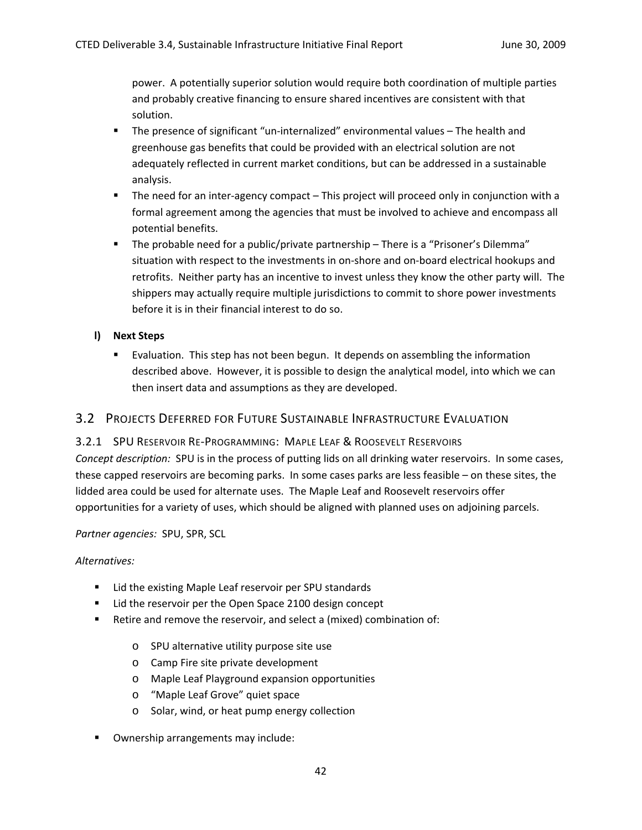power. A potentially superior solution would require both coordination of multiple parties and probably creative financing to ensure shared incentives are consistent with that solution.

- The presence of significant "un-internalized" environmental values The health and greenhouse gas benefits that could be provided with an electrical solution are not adequately reflected in current market conditions, but can be addressed in a sustainable analysis.
- The need for an inter-agency compact This project will proceed only in conjunction with a formal agreement among the agencies that must be involved to achieve and encompass all potential benefits.
- The probable need for a public/private partnership There is a "Prisoner's Dilemma" situation with respect to the investments in on-shore and on-board electrical hookups and retrofits. Neither party has an incentive to invest unless they know the other party will. The shippers may actually require multiple jurisdictions to commit to shore power investments before it is in their financial interest to do so.

# **l) Next Steps**

 Evaluation. This step has not been begun. It depends on assembling the information described above. However, it is possible to design the analytical model, into which we can then insert data and assumptions as they are developed.

# 3.2 PROJECTS DEFERRED FOR FUTURE SUSTAINABLE INFRASTRUCTURE EVALUATION

# 3.2.1 SPU RESERVOIR RE‐PROGRAMMING: MAPLE LEAF & ROOSEVELT RESERVOIRS

*Concept description:* SPU is in the process of putting lids on all drinking water reservoirs. In some cases, these capped reservoirs are becoming parks. In some cases parks are less feasible – on these sites, the lidded area could be used for alternate uses. The Maple Leaf and Roosevelt reservoirs offer opportunities for a variety of uses, which should be aligned with planned uses on adjoining parcels.

#### *Partner agencies:* SPU, SPR, SCL

#### *Alternatives:*

- **E** Lid the existing Maple Leaf reservoir per SPU standards
- **E** Lid the reservoir per the Open Space 2100 design concept
- Retire and remove the reservoir, and select a (mixed) combination of:
	- o SPU alternative utility purpose site use
	- o Camp Fire site private development
	- o Maple Leaf Playground expansion opportunities
	- o "Maple Leaf Grove" quiet space
	- o Solar, wind, or heat pump energy collection
- **Ownership arrangements may include:**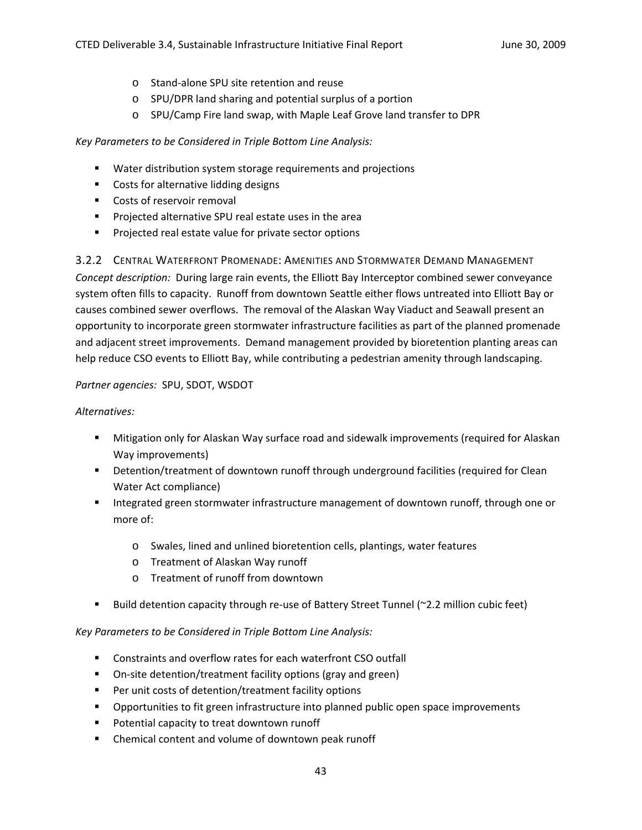- o Stand‐alone SPU site retention and reuse
- o SPU/DPR land sharing and potential surplus of a portion
- o SPU/Camp Fire land swap, with Maple Leaf Grove land transfer to DPR

*Key Parameters to be Considered in Triple Bottom Line Analysis:*

- **Water distribution system storage requirements and projections**
- **Costs for alternative lidding designs**
- Costs of reservoir removal
- **Projected alternative SPU real estate uses in the area**
- **Projected real estate value for private sector options**

3.2.2 CENTRAL WATERFRONT PROMENADE: AMENITIES AND STORMWATER DEMAND MANAGEMENT *Concept description:* During large rain events, the Elliott Bay Interceptor combined sewer conveyance system often fills to capacity. Runoff from downtown Seattle either flows untreated into Elliott Bay or causes combined sewer overflows. The removal of the Alaskan Way Viaduct and Seawall present an opportunity to incorporate green stormwater infrastructure facilities as part of the planned promenade and adjacent street improvements. Demand management provided by bioretention planting areas can help reduce CSO events to Elliott Bay, while contributing a pedestrian amenity through landscaping.

#### *Partner agencies:* SPU, SDOT, WSDOT

#### *Alternatives:*

- Mitigation only for Alaskan Way surface road and sidewalk improvements (required for Alaskan Way improvements)
- **Detention/treatment of downtown runoff through underground facilities (required for Clean** Water Act compliance)
- Integrated green stormwater infrastructure management of downtown runoff, through one or more of:
	- o Swales, lined and unlined bioretention cells, plantings, water features
	- o Treatment of Alaskan Way runoff
	- o Treatment of runoff from downtown
- Build detention capacity through re-use of Battery Street Tunnel (~2.2 million cubic feet)

#### *Key Parameters to be Considered in Triple Bottom Line Analysis:*

- Constraints and overflow rates for each waterfront CSO outfall
- On-site detention/treatment facility options (gray and green)
- Per unit costs of detention/treatment facility options
- **•** Opportunities to fit green infrastructure into planned public open space improvements
- **Potential capacity to treat downtown runoff**
- **EXEC** Chemical content and volume of downtown peak runoff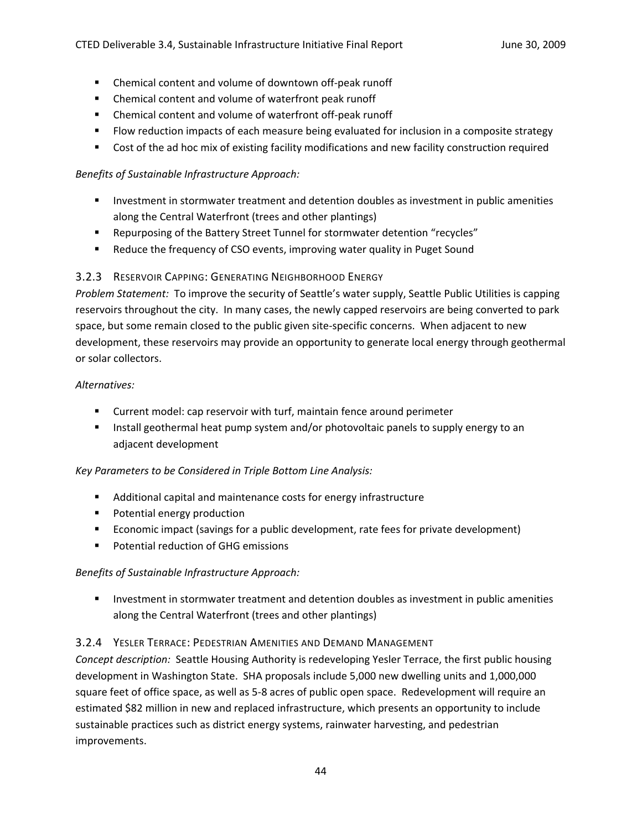- Chemical content and volume of downtown off-peak runoff
- Chemical content and volume of waterfront peak runoff
- Chemical content and volume of waterfront off-peak runoff
- **FIOW reduction impacts of each measure being evaluated for inclusion in a composite strategy**
- Cost of the ad hoc mix of existing facility modifications and new facility construction required

# *Benefits of Sustainable Infrastructure Approach:*

- **Investment in stormwater treatment and detention doubles as investment in public amenities** along the Central Waterfront (trees and other plantings)
- Repurposing of the Battery Street Tunnel for stormwater detention "recycles"
- Reduce the frequency of CSO events, improving water quality in Puget Sound

# 3.2.3 RESERVOIR CAPPING: GENERATING NEIGHBORHOOD ENERGY

*Problem Statement:* To improve the security of Seattle's water supply, Seattle Public Utilities is capping reservoirs throughout the city. In many cases, the newly capped reservoirs are being converted to park space, but some remain closed to the public given site-specific concerns. When adjacent to new development, these reservoirs may provide an opportunity to generate local energy through geothermal or solar collectors.

# *Alternatives:*

- Current model: cap reservoir with turf, maintain fence around perimeter
- **Install geothermal heat pump system and/or photovoltaic panels to supply energy to an** adjacent development

# *Key Parameters to be Considered in Triple Bottom Line Analysis:*

- Additional capital and maintenance costs for energy infrastructure
- **Potential energy production**
- **EXECOLOMIC EXAGGE 1** Economic impact (savings for a public development) **EXAGGE 1**
- **Potential reduction of GHG emissions**

# *Benefits of Sustainable Infrastructure Approach:*

**Investment in stormwater treatment and detention doubles as investment in public amenities** along the Central Waterfront (trees and other plantings)

# 3.2.4 YESLER TERRACE: PEDESTRIAN AMENITIES AND DEMAND MANAGEMENT

*Concept description:* Seattle Housing Authority is redeveloping Yesler Terrace, the first public housing development in Washington State. SHA proposals include 5,000 new dwelling units and 1,000,000 square feet of office space, as well as 5-8 acres of public open space. Redevelopment will require an estimated \$82 million in new and replaced infrastructure, which presents an opportunity to include sustainable practices such as district energy systems, rainwater harvesting, and pedestrian improvements.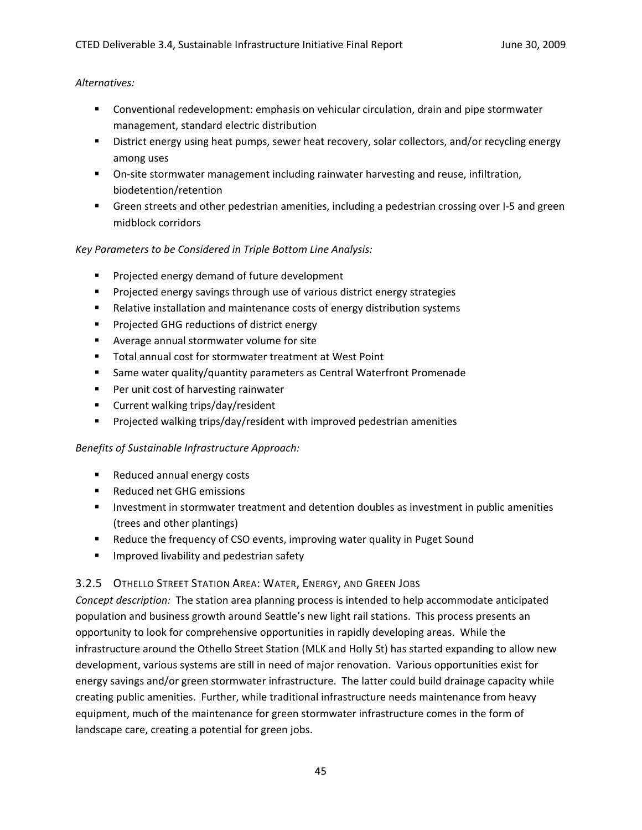#### *Alternatives:*

- Conventional redevelopment: emphasis on vehicular circulation, drain and pipe stormwater management, standard electric distribution
- **BUDIST ENEXA)** District energy using heat pumps, sewer heat recovery, solar collectors, and/or recycling energy among uses
- On-site stormwater management including rainwater harvesting and reuse, infiltration, biodetention/retention
- Green streets and other pedestrian amenities, including a pedestrian crossing over I-5 and green midblock corridors

# *Key Parameters to be Considered in Triple Bottom Line Analysis:*

- **Projected energy demand of future development**
- **Projected energy savings through use of various district energy strategies**
- **Relative installation and maintenance costs of energy distribution systems**
- **Projected GHG reductions of district energy**
- Average annual stormwater volume for site
- Total annual cost for stormwater treatment at West Point
- Same water quality/quantity parameters as Central Waterfront Promenade
- **Per unit cost of harvesting rainwater**
- **EXECUTE:** Current walking trips/day/resident
- **Projected walking trips/day/resident with improved pedestrian amenities**

# *Benefits of Sustainable Infrastructure Approach:*

- Reduced annual energy costs
- Reduced net GHG emissions
- **Investment in stormwater treatment and detention doubles as investment in public amenities** (trees and other plantings)
- Reduce the frequency of CSO events, improving water quality in Puget Sound
- **IMPROVED INCOVED INCOVER 19 IMPROVED INCOCO I**

# 3.2.5 OTHELLO STREET STATION AREA: WATER, ENERGY, AND GREEN JOBS

*Concept description:* The station area planning process is intended to help accommodate anticipated population and business growth around Seattle's new light rail stations. This process presents an opportunity to look for comprehensive opportunities in rapidly developing areas. While the infrastructure around the Othello Street Station (MLK and Holly St) has started expanding to allow new development, various systems are still in need of major renovation. Various opportunities exist for energy savings and/or green stormwater infrastructure. The latter could build drainage capacity while creating public amenities. Further, while traditional infrastructure needs maintenance from heavy equipment, much of the maintenance for green stormwater infrastructure comes in the form of landscape care, creating a potential for green jobs.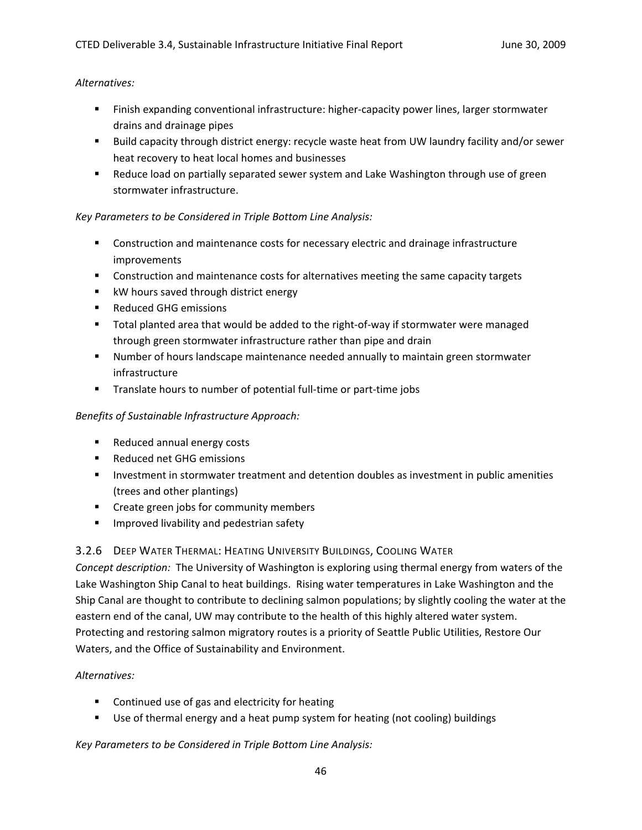#### *Alternatives:*

- Finish expanding conventional infrastructure: higher-capacity power lines, larger stormwater drains and drainage pipes
- Build capacity through district energy: recycle waste heat from UW laundry facility and/or sewer heat recovery to heat local homes and businesses
- Reduce load on partially separated sewer system and Lake Washington through use of green stormwater infrastructure.

# *Key Parameters to be Considered in Triple Bottom Line Analysis:*

- **Construction and maintenance costs for necessary electric and drainage infrastructure** improvements
- **Construction and maintenance costs for alternatives meeting the same capacity targets**
- **KW** hours saved through district energy
- Reduced GHG emissions
- Total planted area that would be added to the right-of-way if stormwater were managed through green stormwater infrastructure rather than pipe and drain
- Number of hours landscape maintenance needed annually to maintain green stormwater infrastructure
- Translate hours to number of potential full-time or part-time jobs

# *Benefits of Sustainable Infrastructure Approach:*

- **Reduced annual energy costs**
- Reduced net GHG emissions
- **Investment in stormwater treatment and detention doubles as investment in public amenities** (trees and other plantings)
- **•** Create green jobs for community members
- **IMPROVED INTERS IN ADAM** Pedestrian safety

# 3.2.6 DEEP WATER THERMAL: HEATING UNIVERSITY BUILDINGS, COOLING WATER

*Concept description:* The University of Washington is exploring using thermal energy from waters of the Lake Washington Ship Canal to heat buildings. Rising water temperatures in Lake Washington and the Ship Canal are thought to contribute to declining salmon populations; by slightly cooling the water at the eastern end of the canal, UW may contribute to the health of this highly altered water system. Protecting and restoring salmon migratory routes is a priority of Seattle Public Utilities, Restore Our Waters, and the Office of Sustainability and Environment.

# *Alternatives:*

- **EXECONTER 12 Continued use of gas and electricity for heating**
- Use of thermal energy and a heat pump system for heating (not cooling) buildings

*Key Parameters to be Considered in Triple Bottom Line Analysis:*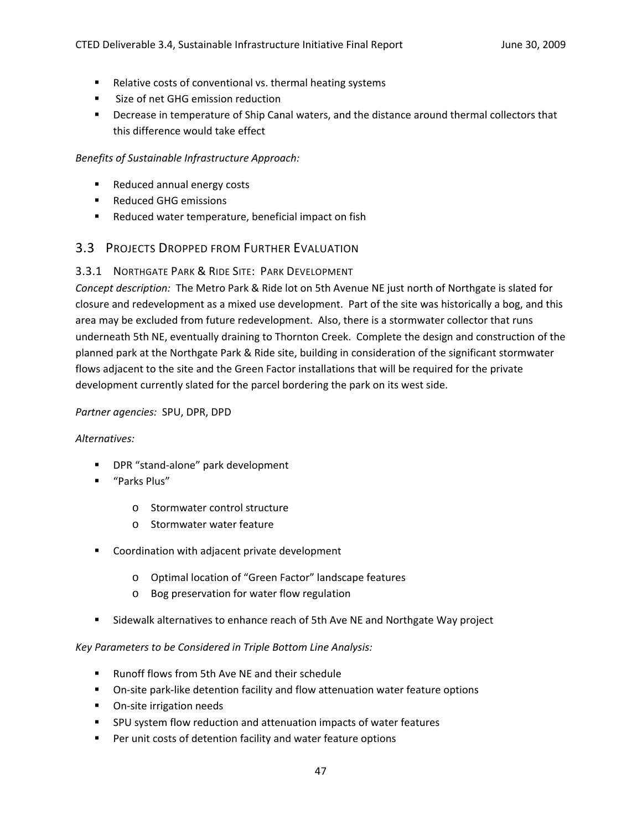- Relative costs of conventional vs. thermal heating systems
- **Size of net GHG emission reduction**
- **Physion Exercise** in temperature of Ship Canal waters, and the distance around thermal collectors that this difference would take effect

#### *Benefits of Sustainable Infrastructure Approach:*

- Reduced annual energy costs
- **Reduced GHG emissions**
- Reduced water temperature, beneficial impact on fish

# 3.3 PROJECTS DROPPED FROM FURTHER EVALUATION

### 3.3.1 NORTHGATE PARK & RIDE SITE: PARK DEVELOPMENT

*Concept description:* The Metro Park & Ride lot on 5th Avenue NE just north of Northgate is slated for closure and redevelopment as a mixed use development. Part of the site was historically a bog, and this area may be excluded from future redevelopment. Also, there is a stormwater collector that runs underneath 5th NE, eventually draining to Thornton Creek. Complete the design and construction of the planned park at the Northgate Park & Ride site, building in consideration of the significant stormwater flows adjacent to the site and the Green Factor installations that will be required for the private development currently slated for the parcel bordering the park on its west side.

#### *Partner agencies:* SPU, DPR, DPD

#### *Alternatives:*

- DPR "stand-alone" park development
- "Parks Plus"
	- o Stormwater control structure
	- o Stormwater water feature
- Coordination with adjacent private development
	- o Optimal location of "Green Factor" landscape features
	- o Bog preservation for water flow regulation
- **Sidewalk alternatives to enhance reach of 5th Ave NE and Northgate Way project**

#### *Key Parameters to be Considered in Triple Bottom Line Analysis:*

- Runoff flows from 5th Ave NE and their schedule
- On-site park-like detention facility and flow attenuation water feature options
- On-site irrigation needs
- SPU system flow reduction and attenuation impacts of water features
- **Per unit costs of detention facility and water feature options**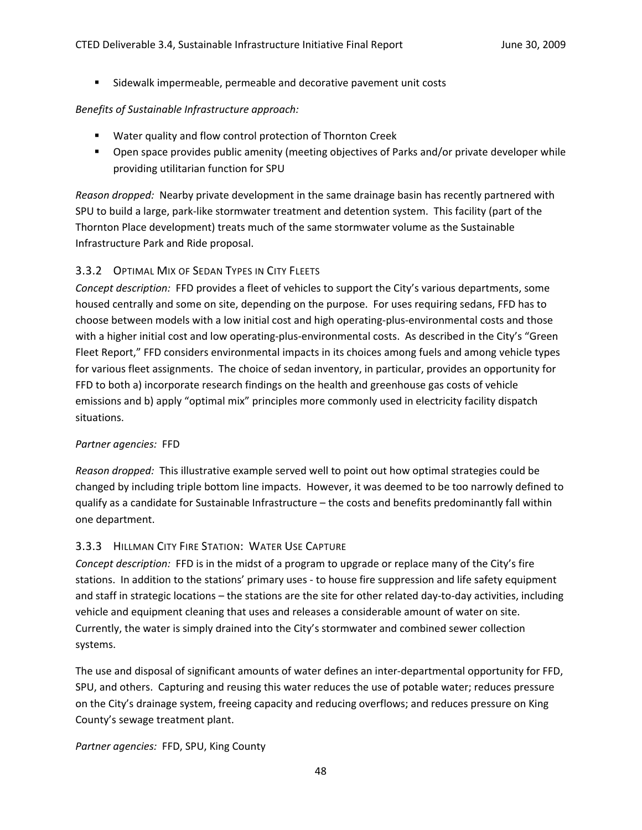Sidewalk impermeable, permeable and decorative pavement unit costs

### *Benefits of Sustainable Infrastructure approach:*

- Water quality and flow control protection of Thornton Creek
- **•** Open space provides public amenity (meeting objectives of Parks and/or private developer while providing utilitarian function for SPU

*Reason dropped:* Nearby private development in the same drainage basin has recently partnered with SPU to build a large, park‐like stormwater treatment and detention system. This facility (part of the Thornton Place development) treats much of the same stormwater volume as the Sustainable Infrastructure Park and Ride proposal.

# 3.3.2 OPTIMAL MIX OF SEDAN TYPES IN CITY FLEETS

*Concept description:* FFD provides a fleet of vehicles to support the City's various departments, some housed centrally and some on site, depending on the purpose. For uses requiring sedans, FFD has to choose between models with a low initial cost and high operating‐plus‐environmental costs and those with a higher initial cost and low operating-plus-environmental costs. As described in the City's "Green Fleet Report," FFD considers environmental impacts in its choices among fuels and among vehicle types for various fleet assignments. The choice of sedan inventory, in particular, provides an opportunity for FFD to both a) incorporate research findings on the health and greenhouse gas costs of vehicle emissions and b) apply "optimal mix" principles more commonly used in electricity facility dispatch situations.

#### *Partner agencies:* FFD

*Reason dropped:* This illustrative example served well to point out how optimal strategies could be changed by including triple bottom line impacts. However, it was deemed to be too narrowly defined to qualify as a candidate for Sustainable Infrastructure – the costs and benefits predominantly fall within one department.

# 3.3.3 HILLMAN CITY FIRE STATION: WATER USE CAPTURE

*Concept description:* FFD is in the midst of a program to upgrade or replace many of the City's fire stations. In addition to the stations' primary uses ‐ to house fire suppression and life safety equipment and staff in strategic locations – the stations are the site for other related day-to-day activities, including vehicle and equipment cleaning that uses and releases a considerable amount of water on site. Currently, the water is simply drained into the City's stormwater and combined sewer collection systems.

The use and disposal of significant amounts of water defines an inter‐departmental opportunity for FFD, SPU, and others. Capturing and reusing this water reduces the use of potable water; reduces pressure on the City's drainage system, freeing capacity and reducing overflows; and reduces pressure on King County's sewage treatment plant.

# *Partner agencies:* FFD, SPU, King County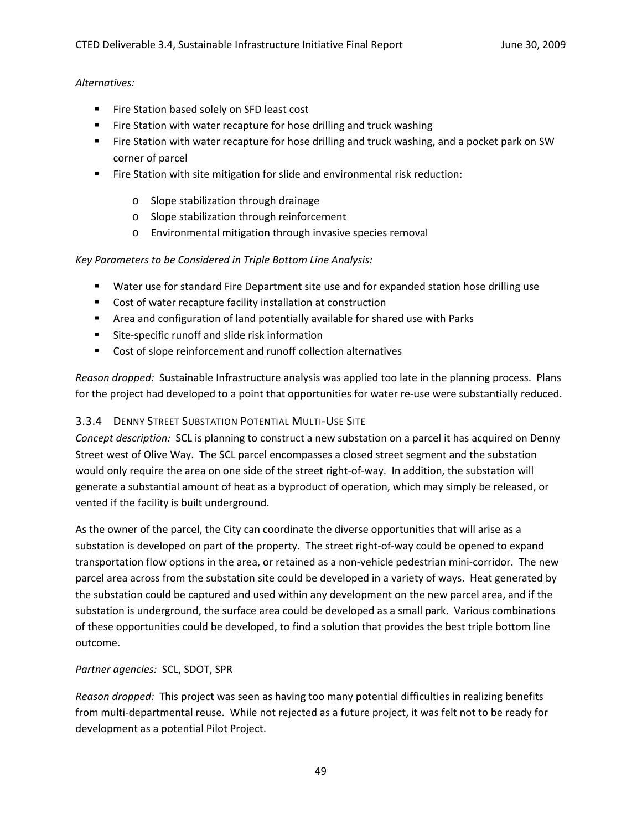#### *Alternatives:*

- Fire Station based solely on SFD least cost
- **Fire Station with water recapture for hose drilling and truck washing**
- **Fire Station with water recapture for hose drilling and truck washing, and a pocket park on SW** corner of parcel
- Fire Station with site mitigation for slide and environmental risk reduction:
	- o Slope stabilization through drainage
	- o Slope stabilization through reinforcement
	- o Environmental mitigation through invasive species removal

#### *Key Parameters to be Considered in Triple Bottom Line Analysis:*

- Water use for standard Fire Department site use and for expanded station hose drilling use
- Cost of water recapture facility installation at construction
- Area and configuration of land potentially available for shared use with Parks
- Site-specific runoff and slide risk information
- Cost of slope reinforcement and runoff collection alternatives

*Reason dropped:* Sustainable Infrastructure analysis was applied too late in the planning process. Plans for the project had developed to a point that opportunities for water re-use were substantially reduced.

# 3.3.4 DENNY STREET SUBSTATION POTENTIAL MULTI‐USE SITE

*Concept description:* SCL is planning to construct a new substation on a parcel it has acquired on Denny Street west of Olive Way. The SCL parcel encompasses a closed street segment and the substation would only require the area on one side of the street right‐of‐way. In addition, the substation will generate a substantial amount of heat as a byproduct of operation, which may simply be released, or vented if the facility is built underground.

As the owner of the parcel, the City can coordinate the diverse opportunities that will arise as a substation is developed on part of the property. The street right‐of‐way could be opened to expand transportation flow options in the area, or retained as a non-vehicle pedestrian mini-corridor. The new parcel area across from the substation site could be developed in a variety of ways. Heat generated by the substation could be captured and used within any development on the new parcel area, and if the substation is underground, the surface area could be developed as a small park. Various combinations of these opportunities could be developed, to find a solution that provides the best triple bottom line outcome.

#### *Partner agencies:* SCL, SDOT, SPR

*Reason dropped:* This project was seen as having too many potential difficulties in realizing benefits from multi‐departmental reuse. While not rejected as a future project, it was felt not to be ready for development as a potential Pilot Project.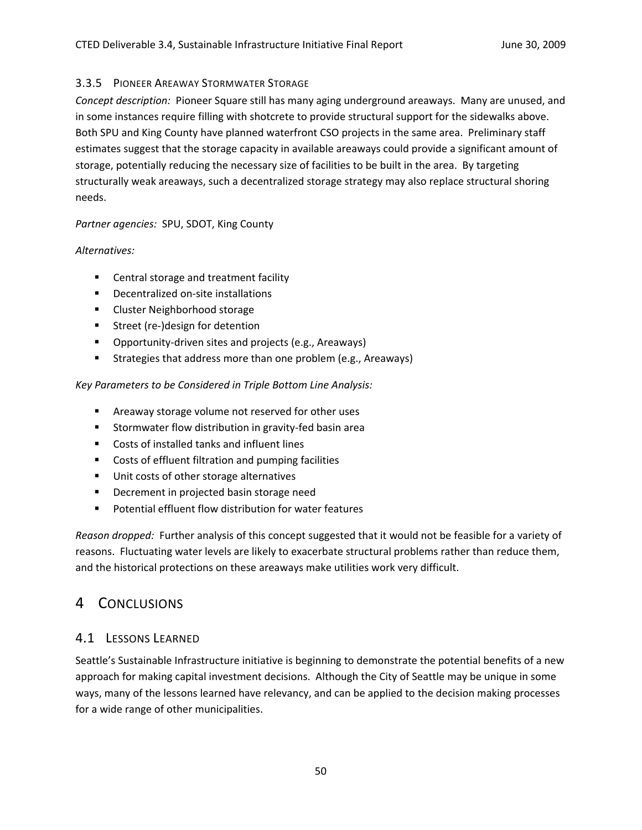### 3.3.5 PIONEER AREAWAY STORMWATER STORAGE

*Concept description:* Pioneer Square still has many aging underground areaways. Many are unused, and in some instances require filling with shotcrete to provide structural support for the sidewalks above. Both SPU and King County have planned waterfront CSO projects in the same area. Preliminary staff estimates suggest that the storage capacity in available areaways could provide a significant amount of storage, potentially reducing the necessary size of facilities to be built in the area. By targeting structurally weak areaways, such a decentralized storage strategy may also replace structural shoring needs.

### *Partner agencies:* SPU, SDOT, King County

### *Alternatives:*

- **EXEC** Central storage and treatment facility
- Decentralized on-site installations
- **EXEC** Cluster Neighborhood storage
- Street (re-)design for detention
- Opportunity-driven sites and projects (e.g., Areaways)
- **Strategies that address more than one problem (e.g., Areaways)**

# *Key Parameters to be Considered in Triple Bottom Line Analysis:*

- **EXTERGHTM** Areaway storage volume not reserved for other uses
- Stormwater flow distribution in gravity-fed basin area
- Costs of installed tanks and influent lines
- Costs of effluent filtration and pumping facilities
- **Unit costs of other storage alternatives**
- **Decrement in projected basin storage need**
- Potential effluent flow distribution for water features

*Reason dropped:* Further analysis of this concept suggested that it would not be feasible for a variety of reasons. Fluctuating water levels are likely to exacerbate structural problems rather than reduce them, and the historical protections on these areaways make utilities work very difficult.

# 4 CONCLUSIONS

# 4.1 LESSONS LEARNED

Seattle's Sustainable Infrastructure initiative is beginning to demonstrate the potential benefits of a new approach for making capital investment decisions. Although the City of Seattle may be unique in some ways, many of the lessons learned have relevancy, and can be applied to the decision making processes for a wide range of other municipalities.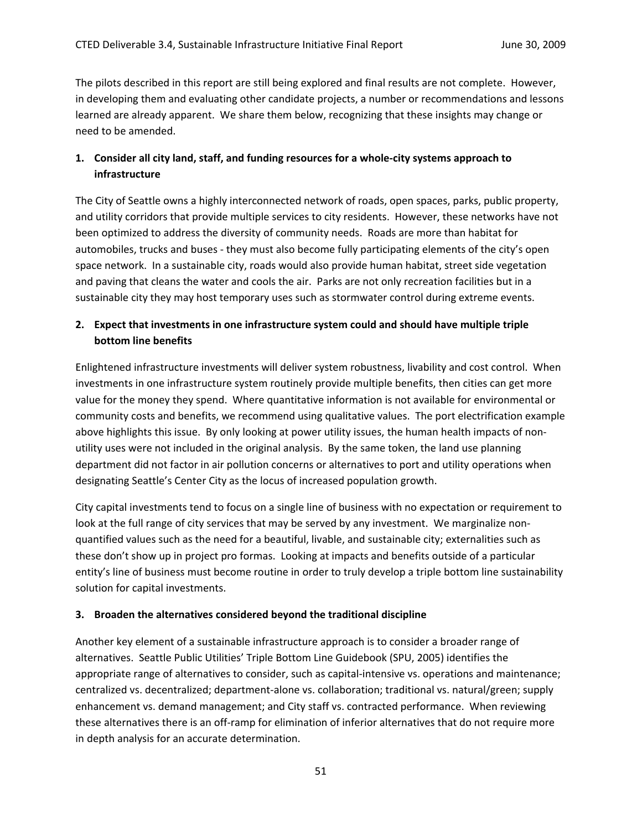The pilots described in this report are still being explored and final results are not complete. However, in developing them and evaluating other candidate projects, a number or recommendations and lessons learned are already apparent. We share them below, recognizing that these insights may change or need to be amended.

# **1. Consider all city land, staff, and funding resources for a whole‐city systems approach to infrastructure**

The City of Seattle owns a highly interconnected network of roads, open spaces, parks, public property, and utility corridors that provide multiple services to city residents. However, these networks have not been optimized to address the diversity of community needs. Roads are more than habitat for automobiles, trucks and buses ‐ they must also become fully participating elements of the city's open space network. In a sustainable city, roads would also provide human habitat, street side vegetation and paving that cleans the water and cools the air. Parks are not only recreation facilities but in a sustainable city they may host temporary uses such as stormwater control during extreme events.

# **2. Expect that investments in one infrastructure system could and should have multiple triple bottom line benefits**

Enlightened infrastructure investments will deliver system robustness, livability and cost control. When investments in one infrastructure system routinely provide multiple benefits, then cities can get more value for the money they spend. Where quantitative information is not available for environmental or community costs and benefits, we recommend using qualitative values. The port electrification example above highlights this issue. By only looking at power utility issues, the human health impacts of nonutility uses were not included in the original analysis. By the same token, the land use planning department did not factor in air pollution concerns or alternatives to port and utility operations when designating Seattle's Center City as the locus of increased population growth.

City capital investments tend to focus on a single line of business with no expectation or requirement to look at the full range of city services that may be served by any investment. We marginalize nonquantified values such as the need for a beautiful, livable, and sustainable city; externalities such as these don't show up in project pro formas. Looking at impacts and benefits outside of a particular entity's line of business must become routine in order to truly develop a triple bottom line sustainability solution for capital investments.

# **3. Broaden the alternatives considered beyond the traditional discipline**

Another key element of a sustainable infrastructure approach is to consider a broader range of alternatives. Seattle Public Utilities' Triple Bottom Line Guidebook (SPU, 2005) identifies the appropriate range of alternatives to consider, such as capital-intensive vs. operations and maintenance; centralized vs. decentralized; department‐alone vs. collaboration; traditional vs. natural/green; supply enhancement vs. demand management; and City staff vs. contracted performance. When reviewing these alternatives there is an off‐ramp for elimination of inferior alternatives that do not require more in depth analysis for an accurate determination.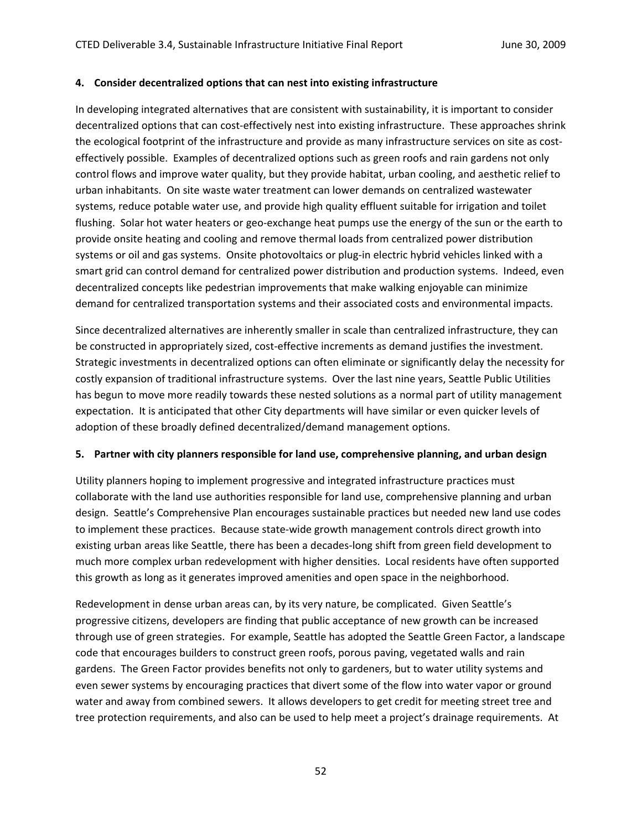#### **4. Consider decentralized options that can nest into existing infrastructure**

In developing integrated alternatives that are consistent with sustainability, it is important to consider decentralized options that can cost-effectively nest into existing infrastructure. These approaches shrink the ecological footprint of the infrastructure and provide as many infrastructure services on site as costeffectively possible. Examples of decentralized options such as green roofs and rain gardens not only control flows and improve water quality, but they provide habitat, urban cooling, and aesthetic relief to urban inhabitants. On site waste water treatment can lower demands on centralized wastewater systems, reduce potable water use, and provide high quality effluent suitable for irrigation and toilet flushing. Solar hot water heaters or geo‐exchange heat pumps use the energy of the sun or the earth to provide onsite heating and cooling and remove thermal loads from centralized power distribution systems or oil and gas systems. Onsite photovoltaics or plug-in electric hybrid vehicles linked with a smart grid can control demand for centralized power distribution and production systems. Indeed, even decentralized concepts like pedestrian improvements that make walking enjoyable can minimize demand for centralized transportation systems and their associated costs and environmental impacts.

Since decentralized alternatives are inherently smaller in scale than centralized infrastructure, they can be constructed in appropriately sized, cost-effective increments as demand justifies the investment. Strategic investments in decentralized options can often eliminate or significantly delay the necessity for costly expansion of traditional infrastructure systems. Over the last nine years, Seattle Public Utilities has begun to move more readily towards these nested solutions as a normal part of utility management expectation. It is anticipated that other City departments will have similar or even quicker levels of adoption of these broadly defined decentralized/demand management options.

#### **5. Partner with city planners responsible for land use, comprehensive planning, and urban design**

Utility planners hoping to implement progressive and integrated infrastructure practices must collaborate with the land use authorities responsible for land use, comprehensive planning and urban design. Seattle's Comprehensive Plan encourages sustainable practices but needed new land use codes to implement these practices. Because state-wide growth management controls direct growth into existing urban areas like Seattle, there has been a decades‐long shift from green field development to much more complex urban redevelopment with higher densities. Local residents have often supported this growth as long as it generates improved amenities and open space in the neighborhood.

Redevelopment in dense urban areas can, by its very nature, be complicated. Given Seattle's progressive citizens, developers are finding that public acceptance of new growth can be increased through use of green strategies. For example, Seattle has adopted the Seattle Green Factor, a landscape code that encourages builders to construct green roofs, porous paving, vegetated walls and rain gardens. The Green Factor provides benefits not only to gardeners, but to water utility systems and even sewer systems by encouraging practices that divert some of the flow into water vapor or ground water and away from combined sewers. It allows developers to get credit for meeting street tree and tree protection requirements, and also can be used to help meet a project's drainage requirements. At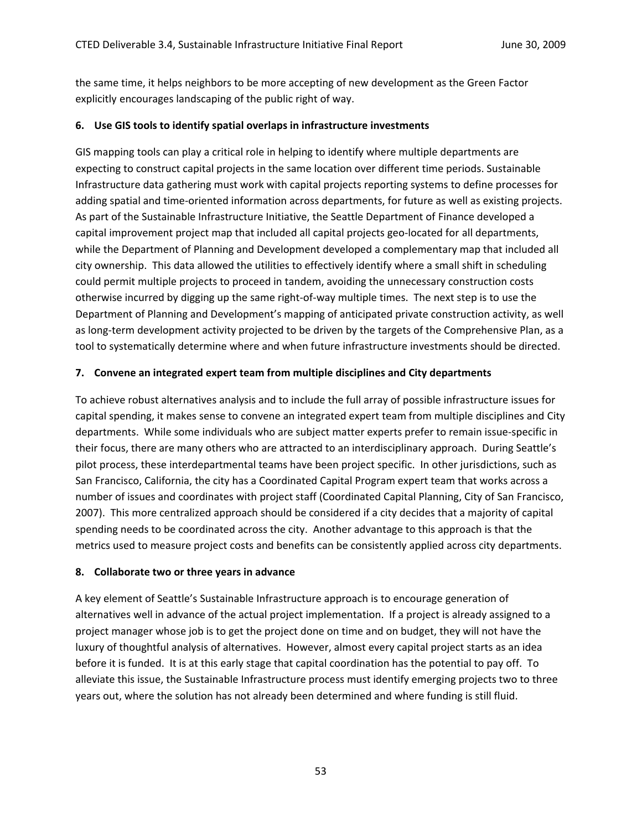the same time, it helps neighbors to be more accepting of new development as the Green Factor explicitly encourages landscaping of the public right of way.

#### **6. Use GIS tools to identify spatial overlaps in infrastructure investments**

GIS mapping tools can play a critical role in helping to identify where multiple departments are expecting to construct capital projects in the same location over different time periods. Sustainable Infrastructure data gathering must work with capital projects reporting systems to define processes for adding spatial and time‐oriented information across departments, for future as well as existing projects. As part of the Sustainable Infrastructure Initiative, the Seattle Department of Finance developed a capital improvement project map that included all capital projects geo‐located for all departments, while the Department of Planning and Development developed a complementary map that included all city ownership. This data allowed the utilities to effectively identify where a small shift in scheduling could permit multiple projects to proceed in tandem, avoiding the unnecessary construction costs otherwise incurred by digging up the same right‐of‐way multiple times. The next step is to use the Department of Planning and Development's mapping of anticipated private construction activity, as well as long-term development activity projected to be driven by the targets of the Comprehensive Plan, as a tool to systematically determine where and when future infrastructure investments should be directed.

#### **7. Convene an integrated expert team from multiple disciplines and City departments**

To achieve robust alternatives analysis and to include the full array of possible infrastructure issues for capital spending, it makes sense to convene an integrated expert team from multiple disciplines and City departments. While some individuals who are subject matter experts prefer to remain issue‐specific in their focus, there are many others who are attracted to an interdisciplinary approach. During Seattle's pilot process, these interdepartmental teams have been project specific. In other jurisdictions, such as San Francisco, California, the city has a Coordinated Capital Program expert team that works across a number of issues and coordinates with project staff (Coordinated Capital Planning, City of San Francisco, 2007). This more centralized approach should be considered if a city decides that a majority of capital spending needs to be coordinated across the city. Another advantage to this approach is that the metrics used to measure project costs and benefits can be consistently applied across city departments.

#### **8. Collaborate two or three years in advance**

A key element of Seattle's Sustainable Infrastructure approach is to encourage generation of alternatives well in advance of the actual project implementation. If a project is already assigned to a project manager whose job is to get the project done on time and on budget, they will not have the luxury of thoughtful analysis of alternatives. However, almost every capital project starts as an idea before it is funded. It is at this early stage that capital coordination has the potential to pay off. To alleviate this issue, the Sustainable Infrastructure process must identify emerging projects two to three years out, where the solution has not already been determined and where funding is still fluid.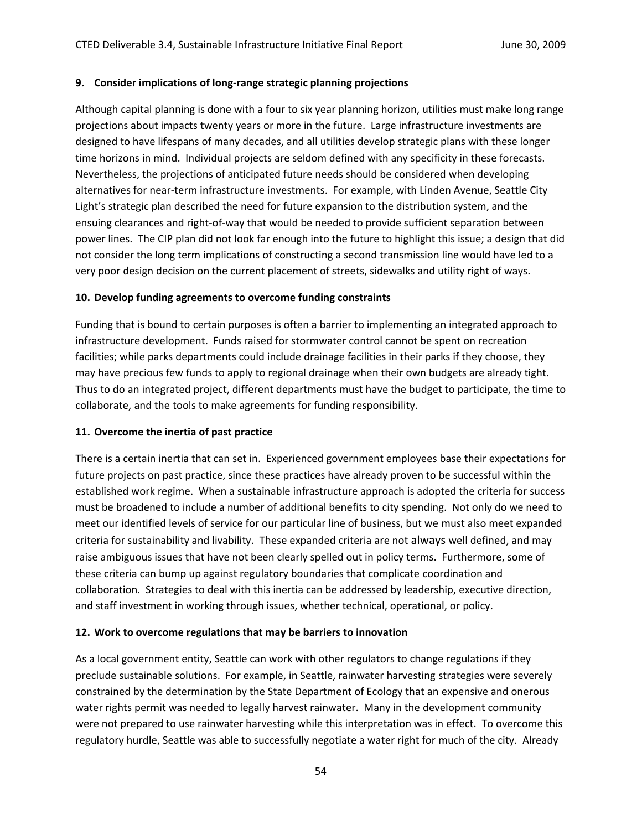#### **9. Consider implications of long‐range strategic planning projections**

Although capital planning is done with a four to six year planning horizon, utilities must make long range projections about impacts twenty years or more in the future. Large infrastructure investments are designed to have lifespans of many decades, and all utilities develop strategic plans with these longer time horizons in mind. Individual projects are seldom defined with any specificity in these forecasts. Nevertheless, the projections of anticipated future needs should be considered when developing alternatives for near-term infrastructure investments. For example, with Linden Avenue, Seattle City Light's strategic plan described the need for future expansion to the distribution system, and the ensuing clearances and right‐of‐way that would be needed to provide sufficient separation between power lines. The CIP plan did not look far enough into the future to highlight this issue; a design that did not consider the long term implications of constructing a second transmission line would have led to a very poor design decision on the current placement of streets, sidewalks and utility right of ways.

#### **10. Develop funding agreements to overcome funding constraints**

Funding that is bound to certain purposes is often a barrier to implementing an integrated approach to infrastructure development. Funds raised for stormwater control cannot be spent on recreation facilities; while parks departments could include drainage facilities in their parks if they choose, they may have precious few funds to apply to regional drainage when their own budgets are already tight. Thus to do an integrated project, different departments must have the budget to participate, the time to collaborate, and the tools to make agreements for funding responsibility.

# **11. Overcome the inertia of past practice**

There is a certain inertia that can set in. Experienced government employees base their expectations for future projects on past practice, since these practices have already proven to be successful within the established work regime. When a sustainable infrastructure approach is adopted the criteria for success must be broadened to include a number of additional benefits to city spending. Not only do we need to meet our identified levels of service for our particular line of business, but we must also meet expanded criteria for sustainability and livability. These expanded criteria are not always well defined, and may raise ambiguous issues that have not been clearly spelled out in policy terms. Furthermore, some of these criteria can bump up against regulatory boundaries that complicate coordination and collaboration. Strategies to deal with this inertia can be addressed by leadership, executive direction, and staff investment in working through issues, whether technical, operational, or policy.

# **12. Work to overcome regulations that may be barriers to innovation**

As a local government entity, Seattle can work with other regulators to change regulations if they preclude sustainable solutions. For example, in Seattle, rainwater harvesting strategies were severely constrained by the determination by the State Department of Ecology that an expensive and onerous water rights permit was needed to legally harvest rainwater. Many in the development community were not prepared to use rainwater harvesting while this interpretation was in effect. To overcome this regulatory hurdle, Seattle was able to successfully negotiate a water right for much of the city. Already